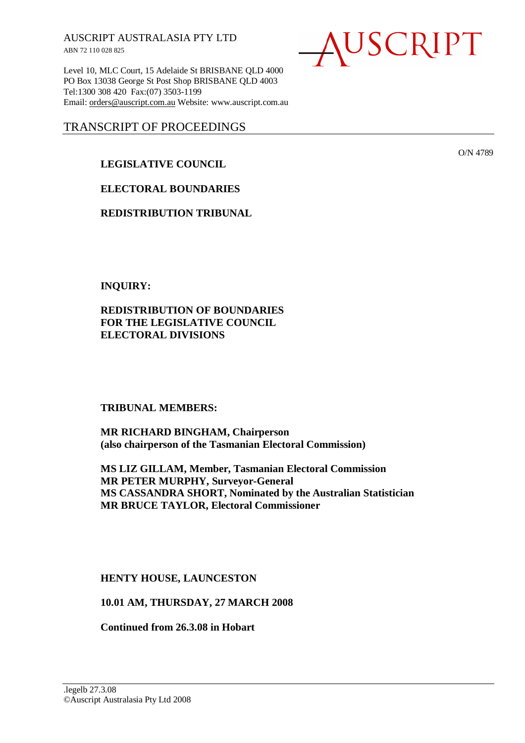AUSCRIPT AUSTRALASIA PTY LTD ABN 72 110 028 825

Level 10, MLC Court, 15 Adelaide St BRISBANE QLD 4000 PO Box 13038 George St Post Shop BRISBANE QLD 4003 Tel:1300 308 420 Fax:(07) 3503-1199 Email: orders@auscript.com.au Website: www.auscript.com.au

## TRANSCRIPT OF PROCEEDINGS

## **LEGISLATIVE COUNCIL**

**ELECTORAL BOUNDARIES** 

**REDISTRIBUTION TRIBUNAL** 

**INQUIRY:** 

**REDISTRIBUTION OF BOUNDARIES FOR THE LEGISLATIVE COUNCIL ELECTORAL DIVISIONS** 

**TRIBUNAL MEMBERS:** 

**MR RICHARD BINGHAM, Chairperson (also chairperson of the Tasmanian Electoral Commission)** 

**MS LIZ GILLAM, Member, Tasmanian Electoral Commission MR PETER MURPHY, Surveyor-General MS CASSANDRA SHORT, Nominated by the Australian Statistician MR BRUCE TAYLOR, Electoral Commissioner** 

**HENTY HOUSE, LAUNCESTON** 

**10.01 AM, THURSDAY, 27 MARCH 2008** 

**Continued from 26.3.08 in Hobart** 



O/N 4789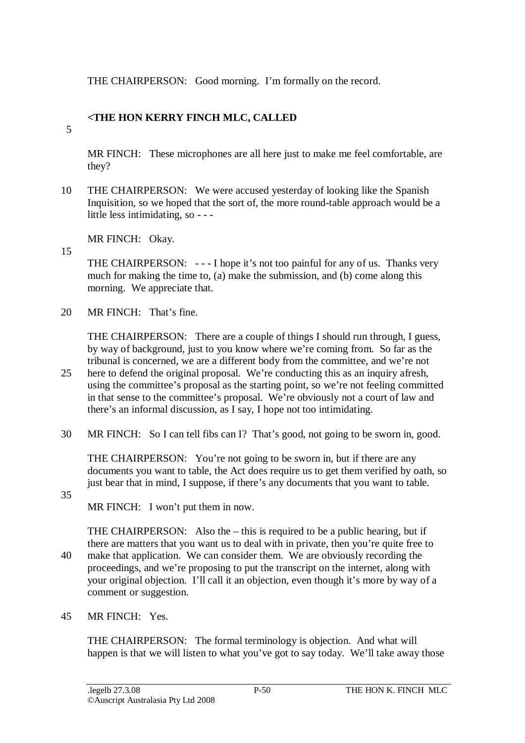THE CHAIRPERSON: Good morning. I'm formally on the record.

# **<THE HON KERRY FINCH MLC, CALLED**

5

MR FINCH: These microphones are all here just to make me feel comfortable, are they?

10 THE CHAIRPERSON: We were accused yesterday of looking like the Spanish Inquisition, so we hoped that the sort of, the more round-table approach would be a little less intimidating, so - - -

MR FINCH: Okay.

15

THE CHAIRPERSON: - - - I hope it's not too painful for any of us. Thanks very much for making the time to, (a) make the submission, and (b) come along this morning. We appreciate that.

20 MR FINCH: That's fine.

THE CHAIRPERSON: There are a couple of things I should run through, I guess, by way of background, just to you know where we're coming from. So far as the tribunal is concerned, we are a different body from the committee, and we're not

- 25 here to defend the original proposal. We're conducting this as an inquiry afresh, using the committee's proposal as the starting point, so we're not feeling committed in that sense to the committee's proposal. We're obviously not a court of law and there's an informal discussion, as I say, I hope not too intimidating.
- 30 MR FINCH: So I can tell fibs can I? That's good, not going to be sworn in, good.

THE CHAIRPERSON: You're not going to be sworn in, but if there are any documents you want to table, the Act does require us to get them verified by oath, so just bear that in mind, I suppose, if there's any documents that you want to table.

35

MR FINCH: I won't put them in now.

THE CHAIRPERSON: Also the – this is required to be a public hearing, but if there are matters that you want us to deal with in private, then you're quite free to 40 make that application. We can consider them. We are obviously recording the proceedings, and we're proposing to put the transcript on the internet, along with your original objection. I'll call it an objection, even though it's more by way of a comment or suggestion.

45 MR FINCH: Yes.

THE CHAIRPERSON: The formal terminology is objection. And what will happen is that we will listen to what you've got to say today. We'll take away those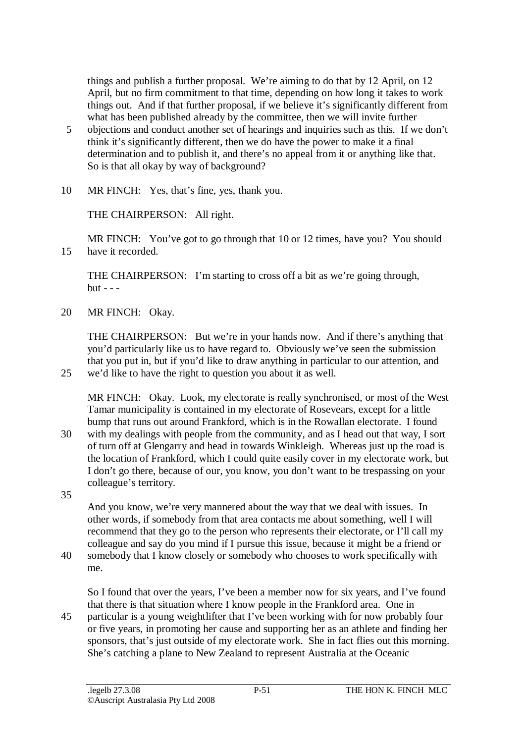things and publish a further proposal. We're aiming to do that by 12 April, on 12 April, but no firm commitment to that time, depending on how long it takes to work things out. And if that further proposal, if we believe it's significantly different from what has been published already by the committee, then we will invite further

- 5 objections and conduct another set of hearings and inquiries such as this. If we don't think it's significantly different, then we do have the power to make it a final determination and to publish it, and there's no appeal from it or anything like that. So is that all okay by way of background?
- 10 MR FINCH: Yes, that's fine, yes, thank you.

THE CHAIRPERSON: All right.

MR FINCH: You've got to go through that 10 or 12 times, have you? You should 15 have it recorded.

THE CHAIRPERSON: I'm starting to cross off a bit as we're going through,  $but - -$ 

20 MR FINCH: Okay.

THE CHAIRPERSON: But we're in your hands now. And if there's anything that you'd particularly like us to have regard to. Obviously we've seen the submission that you put in, but if you'd like to draw anything in particular to our attention, and 25 we'd like to have the right to question you about it as well.

MR FINCH: Okay. Look, my electorate is really synchronised, or most of the West Tamar municipality is contained in my electorate of Rosevears, except for a little bump that runs out around Frankford, which is in the Rowallan electorate. I found 30 with my dealings with people from the community, and as I head out that way, I sort of turn off at Glengarry and head in towards Winkleigh. Whereas just up the road is

- the location of Frankford, which I could quite easily cover in my electorate work, but I don't go there, because of our, you know, you don't want to be trespassing on your colleague's territory.
- 35

And you know, we're very mannered about the way that we deal with issues. In other words, if somebody from that area contacts me about something, well I will recommend that they go to the person who represents their electorate, or I'll call my colleague and say do you mind if I pursue this issue, because it might be a friend or

40 somebody that I know closely or somebody who chooses to work specifically with me.

So I found that over the years, I've been a member now for six years, and I've found that there is that situation where I know people in the Frankford area. One in

45 particular is a young weightlifter that I've been working with for now probably four or five years, in promoting her cause and supporting her as an athlete and finding her sponsors, that's just outside of my electorate work. She in fact flies out this morning. She's catching a plane to New Zealand to represent Australia at the Oceanic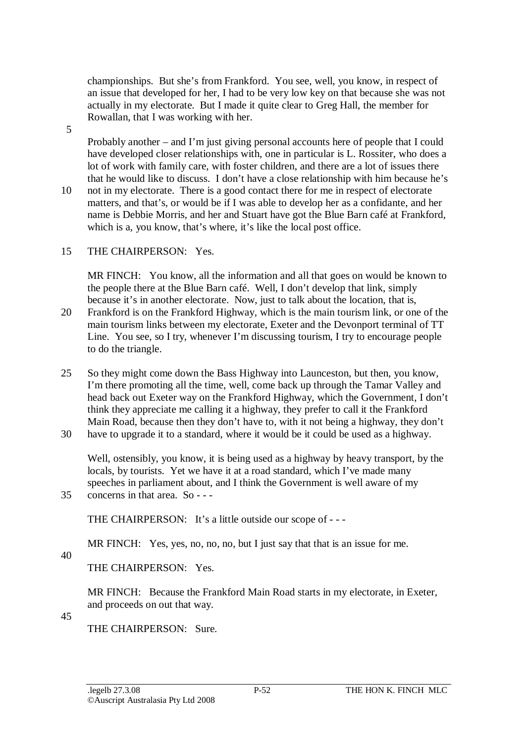championships. But she's from Frankford. You see, well, you know, in respect of an issue that developed for her, I had to be very low key on that because she was not actually in my electorate. But I made it quite clear to Greg Hall, the member for Rowallan, that I was working with her.

5

Probably another – and I'm just giving personal accounts here of people that I could have developed closer relationships with, one in particular is L. Rossiter, who does a lot of work with family care, with foster children, and there are a lot of issues there that he would like to discuss. I don't have a close relationship with him because he's

10 not in my electorate. There is a good contact there for me in respect of electorate matters, and that's, or would be if I was able to develop her as a confidante, and her name is Debbie Morris, and her and Stuart have got the Blue Barn café at Frankford, which is a, you know, that's where, it's like the local post office.

## 15 THE CHAIRPERSON: Yes.

MR FINCH: You know, all the information and all that goes on would be known to the people there at the Blue Barn café. Well, I don't develop that link, simply because it's in another electorate. Now, just to talk about the location, that is,

- 20 Frankford is on the Frankford Highway, which is the main tourism link, or one of the main tourism links between my electorate, Exeter and the Devonport terminal of TT Line. You see, so I try, whenever I'm discussing tourism, I try to encourage people to do the triangle.
- 25 So they might come down the Bass Highway into Launceston, but then, you know, I'm there promoting all the time, well, come back up through the Tamar Valley and head back out Exeter way on the Frankford Highway, which the Government, I don't think they appreciate me calling it a highway, they prefer to call it the Frankford Main Road, because then they don't have to, with it not being a highway, they don't 30 have to upgrade it to a standard, where it would be it could be used as a highway.

Well, ostensibly, you know, it is being used as a highway by heavy transport, by the locals, by tourists. Yet we have it at a road standard, which I've made many speeches in parliament about, and I think the Government is well aware of my 35 concerns in that area. So - - -

THE CHAIRPERSON: It's a little outside our scope of - - -

MR FINCH: Yes, yes, no, no, no, but I just say that that is an issue for me.

40

THE CHAIRPERSON: Yes.

MR FINCH: Because the Frankford Main Road starts in my electorate, in Exeter, and proceeds on out that way.

45

THE CHAIRPERSON: Sure.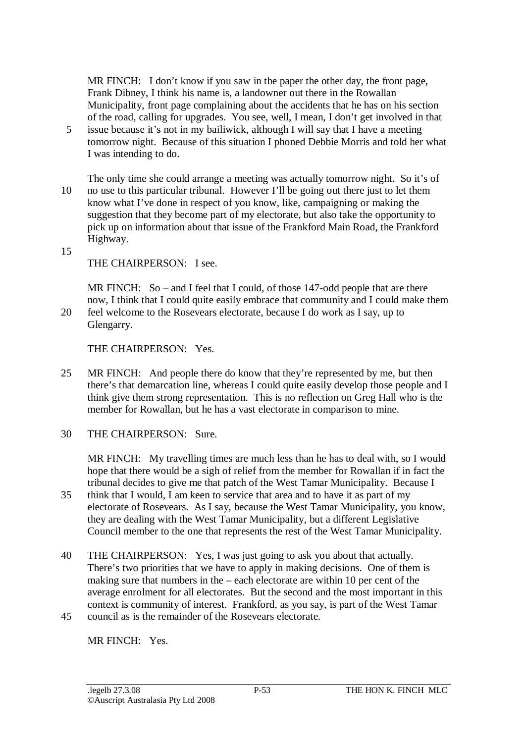MR FINCH: I don't know if you saw in the paper the other day, the front page, Frank Dibney, I think his name is, a landowner out there in the Rowallan Municipality, front page complaining about the accidents that he has on his section of the road, calling for upgrades. You see, well, I mean, I don't get involved in that

- 5 issue because it's not in my bailiwick, although I will say that I have a meeting tomorrow night. Because of this situation I phoned Debbie Morris and told her what I was intending to do.
- The only time she could arrange a meeting was actually tomorrow night. So it's of 10 no use to this particular tribunal. However I'll be going out there just to let them know what I've done in respect of you know, like, campaigning or making the suggestion that they become part of my electorate, but also take the opportunity to pick up on information about that issue of the Frankford Main Road, the Frankford Highway.

15

THE CHAIRPERSON: I see.

MR FINCH: So – and I feel that I could, of those 147-odd people that are there now, I think that I could quite easily embrace that community and I could make them 20 feel welcome to the Rosevears electorate, because I do work as I say, up to

Glengarry.

THE CHAIRPERSON: Yes.

- 25 MR FINCH: And people there do know that they're represented by me, but then there's that demarcation line, whereas I could quite easily develop those people and I think give them strong representation. This is no reflection on Greg Hall who is the member for Rowallan, but he has a vast electorate in comparison to mine.
- 30 THE CHAIRPERSON: Sure.

MR FINCH: My travelling times are much less than he has to deal with, so I would hope that there would be a sigh of relief from the member for Rowallan if in fact the tribunal decides to give me that patch of the West Tamar Municipality. Because I

- 35 think that I would, I am keen to service that area and to have it as part of my electorate of Rosevears. As I say, because the West Tamar Municipality, you know, they are dealing with the West Tamar Municipality, but a different Legislative Council member to the one that represents the rest of the West Tamar Municipality.
- 40 THE CHAIRPERSON: Yes, I was just going to ask you about that actually. There's two priorities that we have to apply in making decisions. One of them is making sure that numbers in the – each electorate are within 10 per cent of the average enrolment for all electorates. But the second and the most important in this context is community of interest. Frankford, as you say, is part of the West Tamar 45 council as is the remainder of the Rosevears electorate.

MR FINCH: Yes.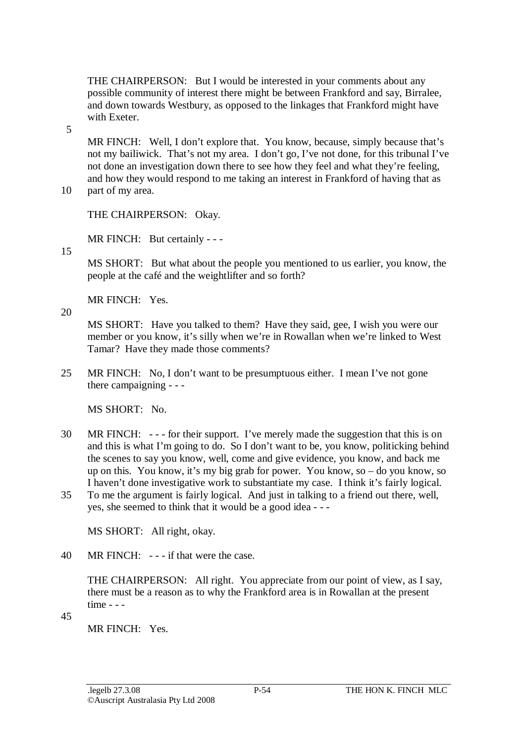THE CHAIRPERSON: But I would be interested in your comments about any possible community of interest there might be between Frankford and say, Birralee, and down towards Westbury, as opposed to the linkages that Frankford might have with Exeter.

5

MR FINCH: Well, I don't explore that. You know, because, simply because that's not my bailiwick. That's not my area. I don't go, I've not done, for this tribunal I've not done an investigation down there to see how they feel and what they're feeling, and how they would respond to me taking an interest in Frankford of having that as 10 part of my area.

THE CHAIRPERSON: Okay. MR FINCH: But certainly - - -

15

MS SHORT: But what about the people you mentioned to us earlier, you know, the people at the café and the weightlifter and so forth?

MR FINCH: Yes.

20

MS SHORT: Have you talked to them? Have they said, gee, I wish you were our member or you know, it's silly when we're in Rowallan when we're linked to West Tamar? Have they made those comments?

25 MR FINCH: No, I don't want to be presumptuous either. I mean I've not gone there campaigning - - -

MS SHORT: No.

- 30 MR FINCH: - for their support. I've merely made the suggestion that this is on and this is what I'm going to do. So I don't want to be, you know, politicking behind the scenes to say you know, well, come and give evidence, you know, and back me up on this. You know, it's my big grab for power. You know, so – do you know, so I haven't done investigative work to substantiate my case. I think it's fairly logical.
- 35 To me the argument is fairly logical. And just in talking to a friend out there, well, yes, she seemed to think that it would be a good idea - - -

MS SHORT: All right, okay.

40 MR FINCH: - - - if that were the case.

THE CHAIRPERSON: All right. You appreciate from our point of view, as I say, there must be a reason as to why the Frankford area is in Rowallan at the present time - - -

45

MR FINCH: Yes.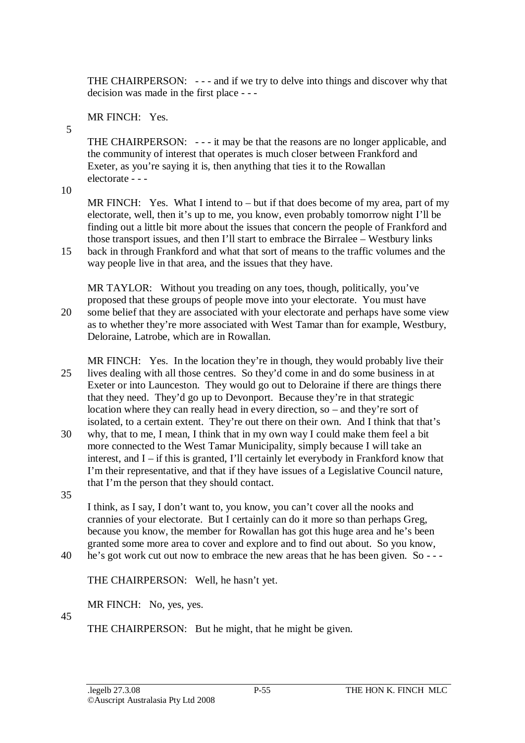THE CHAIRPERSON: - - - and if we try to delve into things and discover why that decision was made in the first place - - -

MR FINCH: Yes.

THE CHAIRPERSON: - - - it may be that the reasons are no longer applicable, and the community of interest that operates is much closer between Frankford and Exeter, as you're saying it is, then anything that ties it to the Rowallan electorate - - -

10

5

MR FINCH: Yes. What I intend to – but if that does become of my area, part of my electorate, well, then it's up to me, you know, even probably tomorrow night I'll be finding out a little bit more about the issues that concern the people of Frankford and those transport issues, and then I'll start to embrace the Birralee – Westbury links 15 back in through Frankford and what that sort of means to the traffic volumes and the

way people live in that area, and the issues that they have.

MR TAYLOR: Without you treading on any toes, though, politically, you've proposed that these groups of people move into your electorate. You must have 20 some belief that they are associated with your electorate and perhaps have some view as to whether they're more associated with West Tamar than for example, Westbury, Deloraine, Latrobe, which are in Rowallan.

MR FINCH: Yes. In the location they're in though, they would probably live their 25 lives dealing with all those centres. So they'd come in and do some business in at Exeter or into Launceston. They would go out to Deloraine if there are things there that they need. They'd go up to Devonport. Because they're in that strategic location where they can really head in every direction, so – and they're sort of isolated, to a certain extent. They're out there on their own. And I think that that's

30 why, that to me, I mean, I think that in my own way I could make them feel a bit more connected to the West Tamar Municipality, simply because I will take an interest, and I – if this is granted, I'll certainly let everybody in Frankford know that I'm their representative, and that if they have issues of a Legislative Council nature, that I'm the person that they should contact.

35

I think, as I say, I don't want to, you know, you can't cover all the nooks and crannies of your electorate. But I certainly can do it more so than perhaps Greg, because you know, the member for Rowallan has got this huge area and he's been granted some more area to cover and explore and to find out about. So you know,

40 he's got work cut out now to embrace the new areas that he has been given. So - - -

THE CHAIRPERSON: Well, he hasn't yet.

MR FINCH: No, yes, yes.

45

THE CHAIRPERSON: But he might, that he might be given.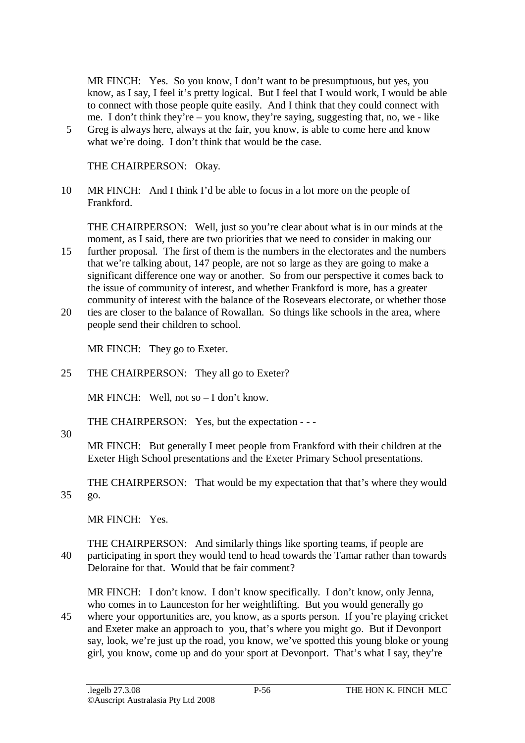MR FINCH: Yes. So you know, I don't want to be presumptuous, but yes, you know, as I say, I feel it's pretty logical. But I feel that I would work, I would be able to connect with those people quite easily. And I think that they could connect with me. I don't think they're – you know, they're saying, suggesting that, no, we - like

5 Greg is always here, always at the fair, you know, is able to come here and know what we're doing. I don't think that would be the case.

THE CHAIRPERSON: Okay.

10 MR FINCH: And I think I'd be able to focus in a lot more on the people of Frankford.

THE CHAIRPERSON: Well, just so you're clear about what is in our minds at the moment, as I said, there are two priorities that we need to consider in making our

- 15 further proposal. The first of them is the numbers in the electorates and the numbers that we're talking about, 147 people, are not so large as they are going to make a significant difference one way or another. So from our perspective it comes back to the issue of community of interest, and whether Frankford is more, has a greater community of interest with the balance of the Rosevears electorate, or whether those
- 20 ties are closer to the balance of Rowallan. So things like schools in the area, where people send their children to school.

MR FINCH: They go to Exeter.

25 THE CHAIRPERSON: They all go to Exeter?

MR FINCH: Well, not so – I don't know.

THE CHAIRPERSON: Yes, but the expectation - - -

30

MR FINCH: But generally I meet people from Frankford with their children at the Exeter High School presentations and the Exeter Primary School presentations.

THE CHAIRPERSON: That would be my expectation that that's where they would 35 go.

MR FINCH: Yes.

THE CHAIRPERSON: And similarly things like sporting teams, if people are 40 participating in sport they would tend to head towards the Tamar rather than towards Deloraine for that. Would that be fair comment?

MR FINCH: I don't know. I don't know specifically. I don't know, only Jenna, who comes in to Launceston for her weightlifting. But you would generally go

45 where your opportunities are, you know, as a sports person. If you're playing cricket and Exeter make an approach to you, that's where you might go. But if Devonport say, look, we're just up the road, you know, we've spotted this young bloke or young girl, you know, come up and do your sport at Devonport. That's what I say, they're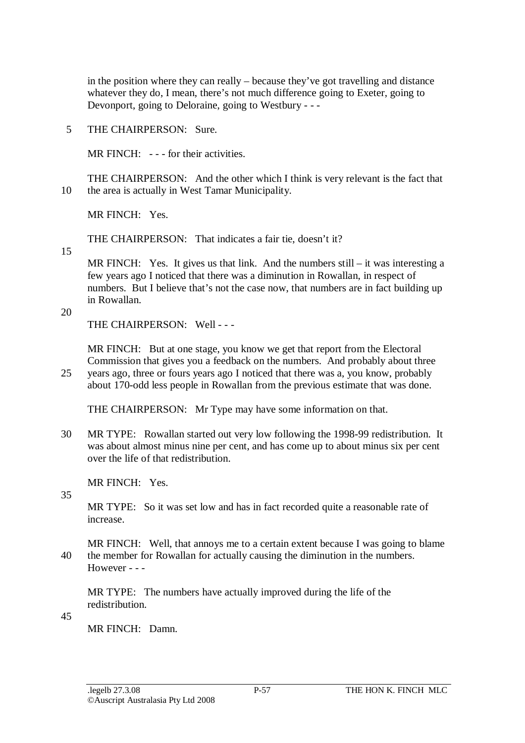in the position where they can really – because they've got travelling and distance whatever they do, I mean, there's not much difference going to Exeter, going to Devonport, going to Deloraine, going to Westbury - - -

5 THE CHAIRPERSON: Sure.

MR FINCH: --- for their activities.

THE CHAIRPERSON: And the other which I think is very relevant is the fact that 10 the area is actually in West Tamar Municipality.

MR FINCH: Yes.

THE CHAIRPERSON: That indicates a fair tie, doesn't it?

15

MR FINCH: Yes. It gives us that link. And the numbers still – it was interesting a few years ago I noticed that there was a diminution in Rowallan, in respect of numbers. But I believe that's not the case now, that numbers are in fact building up in Rowallan.

20

THE CHAIRPERSON: Well - - -

MR FINCH: But at one stage, you know we get that report from the Electoral Commission that gives you a feedback on the numbers. And probably about three

25 years ago, three or fours years ago I noticed that there was a, you know, probably about 170-odd less people in Rowallan from the previous estimate that was done.

THE CHAIRPERSON: Mr Type may have some information on that.

30 MR TYPE: Rowallan started out very low following the 1998-99 redistribution. It was about almost minus nine per cent, and has come up to about minus six per cent over the life of that redistribution.

MR FINCH: Yes.

35

MR TYPE: So it was set low and has in fact recorded quite a reasonable rate of increase.

MR FINCH: Well, that annoys me to a certain extent because I was going to blame 40 the member for Rowallan for actually causing the diminution in the numbers.  $However - -$ 

MR TYPE: The numbers have actually improved during the life of the redistribution.

45

MR FINCH: Damn.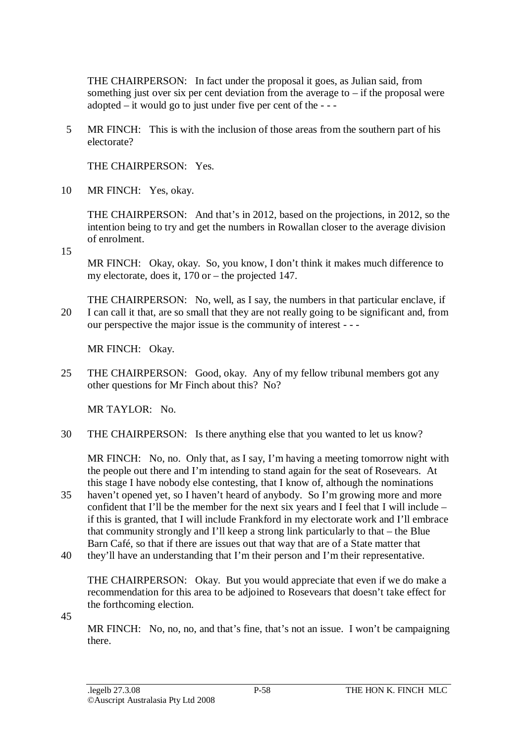THE CHAIRPERSON: In fact under the proposal it goes, as Julian said, from something just over six per cent deviation from the average to  $-$  if the proposal were adopted  $-$  it would go to just under five per cent of the  $-$ 

5 MR FINCH: This is with the inclusion of those areas from the southern part of his electorate?

THE CHAIRPERSON: Yes.

10 MR FINCH: Yes, okay.

THE CHAIRPERSON: And that's in 2012, based on the projections, in 2012, so the intention being to try and get the numbers in Rowallan closer to the average division of enrolment.

15

MR FINCH: Okay, okay. So, you know, I don't think it makes much difference to my electorate, does it, 170 or – the projected 147.

THE CHAIRPERSON: No, well, as I say, the numbers in that particular enclave, if 20 I can call it that, are so small that they are not really going to be significant and, from our perspective the major issue is the community of interest - - -

MR FINCH: Okay.

25 THE CHAIRPERSON: Good, okay. Any of my fellow tribunal members got any other questions for Mr Finch about this? No?

MR TAYLOR: No.

30 THE CHAIRPERSON: Is there anything else that you wanted to let us know?

MR FINCH: No, no. Only that, as I say, I'm having a meeting tomorrow night with the people out there and I'm intending to stand again for the seat of Rosevears. At this stage I have nobody else contesting, that I know of, although the nominations

- 35 haven't opened yet, so I haven't heard of anybody. So I'm growing more and more confident that I'll be the member for the next six years and I feel that I will include – if this is granted, that I will include Frankford in my electorate work and I'll embrace that community strongly and I'll keep a strong link particularly to that – the Blue Barn Café, so that if there are issues out that way that are of a State matter that
- 40 they'll have an understanding that I'm their person and I'm their representative.

THE CHAIRPERSON: Okay. But you would appreciate that even if we do make a recommendation for this area to be adjoined to Rosevears that doesn't take effect for the forthcoming election.

45

MR FINCH: No, no, no, and that's fine, that's not an issue. I won't be campaigning there.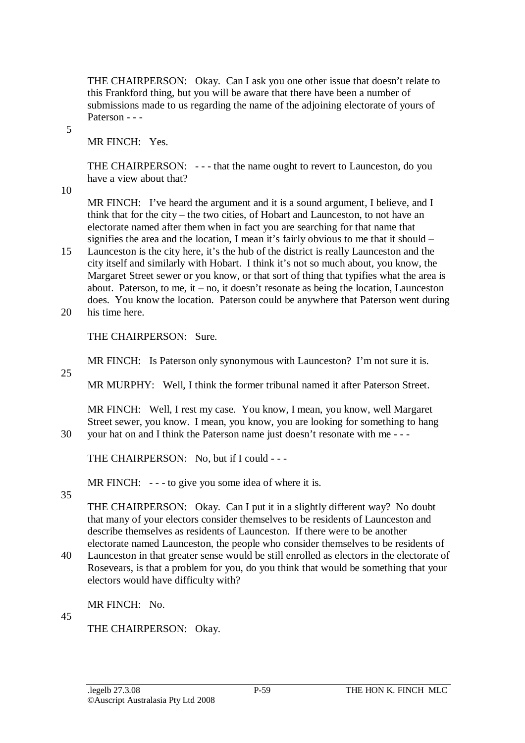THE CHAIRPERSON: Okay. Can I ask you one other issue that doesn't relate to this Frankford thing, but you will be aware that there have been a number of submissions made to us regarding the name of the adjoining electorate of yours of Paterson - - -

5

MR FINCH: Yes.

THE CHAIRPERSON: - - - that the name ought to revert to Launceston, do you have a view about that?

10

MR FINCH: I've heard the argument and it is a sound argument, I believe, and I think that for the city – the two cities, of Hobart and Launceston, to not have an electorate named after them when in fact you are searching for that name that signifies the area and the location, I mean it's fairly obvious to me that it should –

- 15 Launceston is the city here, it's the hub of the district is really Launceston and the city itself and similarly with Hobart. I think it's not so much about, you know, the Margaret Street sewer or you know, or that sort of thing that typifies what the area is about. Paterson, to me, it – no, it doesn't resonate as being the location, Launceston does. You know the location. Paterson could be anywhere that Paterson went during
- 20 his time here.

THE CHAIRPERSON: Sure.

MR FINCH: Is Paterson only synonymous with Launceston? I'm not sure it is.

25

MR MURPHY: Well, I think the former tribunal named it after Paterson Street.

MR FINCH: Well, I rest my case. You know, I mean, you know, well Margaret Street sewer, you know. I mean, you know, you are looking for something to hang 30 your hat on and I think the Paterson name just doesn't resonate with me - - -

THE CHAIRPERSON: No, but if I could - - -

MR FINCH: --- to give you some idea of where it is.

35

THE CHAIRPERSON: Okay. Can I put it in a slightly different way? No doubt that many of your electors consider themselves to be residents of Launceston and describe themselves as residents of Launceston. If there were to be another electorate named Launceston, the people who consider themselves to be residents of

40 Launceston in that greater sense would be still enrolled as electors in the electorate of Rosevears, is that a problem for you, do you think that would be something that your electors would have difficulty with?

MR FINCH: No.

45

THE CHAIRPERSON: Okay.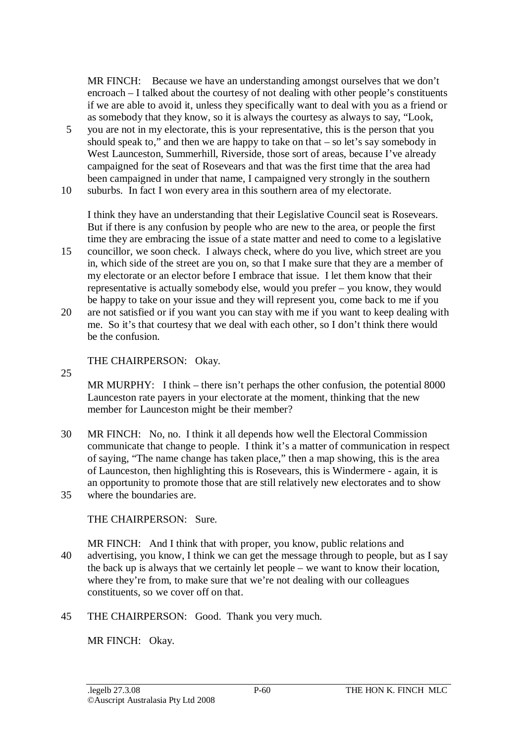MR FINCH: Because we have an understanding amongst ourselves that we don't encroach – I talked about the courtesy of not dealing with other people's constituents if we are able to avoid it, unless they specifically want to deal with you as a friend or as somebody that they know, so it is always the courtesy as always to say, "Look,

- 5 you are not in my electorate, this is your representative, this is the person that you should speak to," and then we are happy to take on that – so let's say somebody in West Launceston, Summerhill, Riverside, those sort of areas, because I've already campaigned for the seat of Rosevears and that was the first time that the area had been campaigned in under that name, I campaigned very strongly in the southern
- 10 suburbs. In fact I won every area in this southern area of my electorate.

I think they have an understanding that their Legislative Council seat is Rosevears. But if there is any confusion by people who are new to the area, or people the first time they are embracing the issue of a state matter and need to come to a legislative

- 15 councillor, we soon check. I always check, where do you live, which street are you in, which side of the street are you on, so that I make sure that they are a member of my electorate or an elector before I embrace that issue. I let them know that their representative is actually somebody else, would you prefer – you know, they would be happy to take on your issue and they will represent you, come back to me if you
- 20 are not satisfied or if you want you can stay with me if you want to keep dealing with me. So it's that courtesy that we deal with each other, so I don't think there would be the confusion.

THE CHAIRPERSON: Okay.

25

MR MURPHY: I think – there isn't perhaps the other confusion, the potential 8000 Launceston rate payers in your electorate at the moment, thinking that the new member for Launceston might be their member?

30 MR FINCH: No, no. I think it all depends how well the Electoral Commission communicate that change to people. I think it's a matter of communication in respect of saying, "The name change has taken place," then a map showing, this is the area of Launceston, then highlighting this is Rosevears, this is Windermere - again, it is an opportunity to promote those that are still relatively new electorates and to show 35 where the boundaries are.

THE CHAIRPERSON: Sure.

- MR FINCH: And I think that with proper, you know, public relations and 40 advertising, you know, I think we can get the message through to people, but as I say the back up is always that we certainly let people – we want to know their location, where they're from, to make sure that we're not dealing with our colleagues constituents, so we cover off on that.
- 45 THE CHAIRPERSON: Good. Thank you very much.

MR FINCH: Okay.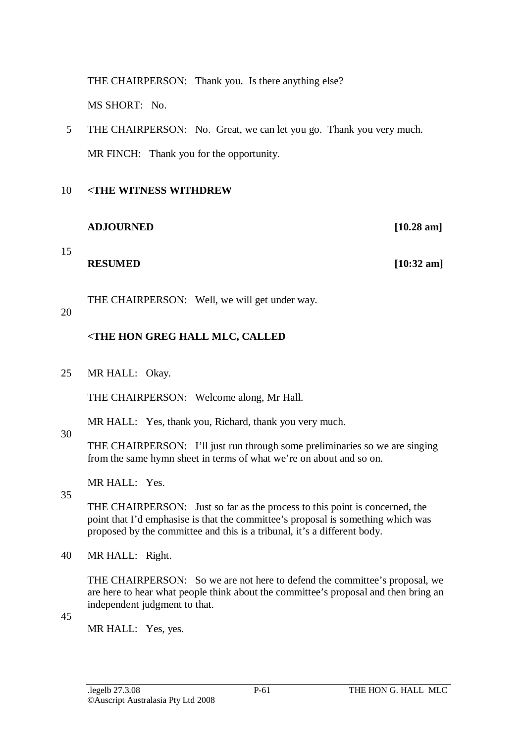THE CHAIRPERSON: Thank you. Is there anything else? MS SHORT: No.

5 THE CHAIRPERSON: No. Great, we can let you go. Thank you very much. MR FINCH: Thank you for the opportunity.

### 10 **<THE WITNESS WITHDREW**

### **ADJOURNED [10.28 am]**

15

**RESUMED** [10:32 am]

THE CHAIRPERSON: Well, we will get under way.

### 20

## **<THE HON GREG HALL MLC, CALLED**

25 MR HALL: Okay.

THE CHAIRPERSON: Welcome along, Mr Hall.

MR HALL: Yes, thank you, Richard, thank you very much.

#### 30

THE CHAIRPERSON: I'll just run through some preliminaries so we are singing from the same hymn sheet in terms of what we're on about and so on.

MR HALL: Yes.

35

THE CHAIRPERSON: Just so far as the process to this point is concerned, the point that I'd emphasise is that the committee's proposal is something which was proposed by the committee and this is a tribunal, it's a different body.

40 MR HALL: Right.

THE CHAIRPERSON: So we are not here to defend the committee's proposal, we are here to hear what people think about the committee's proposal and then bring an independent judgment to that.

45

MR HALL: Yes, yes.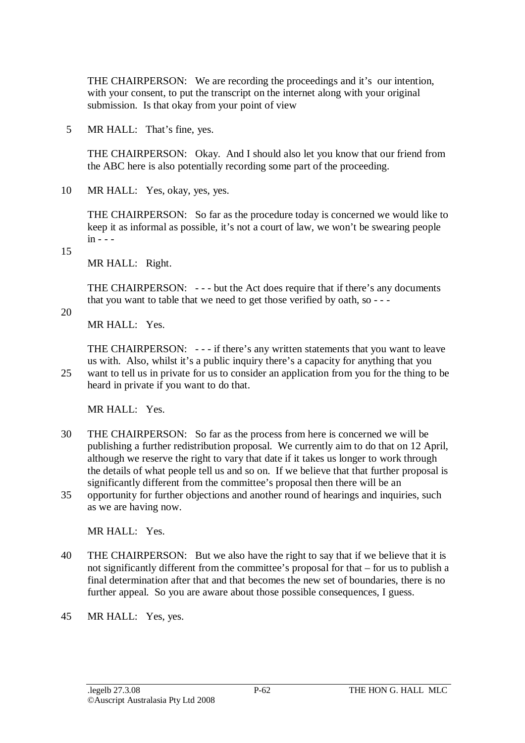THE CHAIRPERSON: We are recording the proceedings and it's our intention, with your consent, to put the transcript on the internet along with your original submission. Is that okay from your point of view

5 MR HALL: That's fine, yes.

THE CHAIRPERSON: Okay. And I should also let you know that our friend from the ABC here is also potentially recording some part of the proceeding.

10 MR HALL: Yes, okay, yes, yes.

THE CHAIRPERSON: So far as the procedure today is concerned we would like to keep it as informal as possible, it's not a court of law, we won't be swearing people  $in - -$ 

15

MR HALL: Right.

THE CHAIRPERSON: - - - but the Act does require that if there's any documents that you want to table that we need to get those verified by oath, so - - -

20

MR HALL: Yes.

THE CHAIRPERSON: - - - if there's any written statements that you want to leave us with. Also, whilst it's a public inquiry there's a capacity for anything that you 25 want to tell us in private for us to consider an application from you for the thing to be

heard in private if you want to do that.

MR HALL: Yes.

- 30 THE CHAIRPERSON: So far as the process from here is concerned we will be publishing a further redistribution proposal. We currently aim to do that on 12 April, although we reserve the right to vary that date if it takes us longer to work through the details of what people tell us and so on. If we believe that that further proposal is significantly different from the committee's proposal then there will be an
- 35 opportunity for further objections and another round of hearings and inquiries, such as we are having now.

MR HALL: Yes.

- 40 THE CHAIRPERSON: But we also have the right to say that if we believe that it is not significantly different from the committee's proposal for that – for us to publish a final determination after that and that becomes the new set of boundaries, there is no further appeal. So you are aware about those possible consequences, I guess.
- 45 MR HALL: Yes, yes.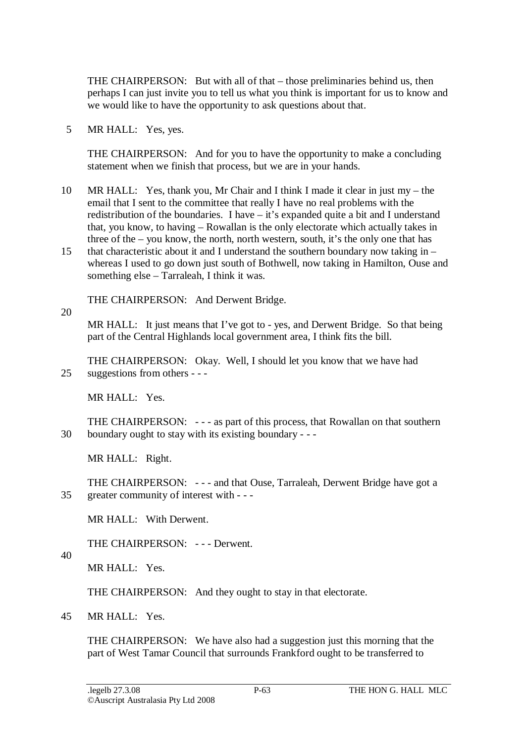THE CHAIRPERSON: But with all of that – those preliminaries behind us, then perhaps I can just invite you to tell us what you think is important for us to know and we would like to have the opportunity to ask questions about that.

5 MR HALL: Yes, yes.

THE CHAIRPERSON: And for you to have the opportunity to make a concluding statement when we finish that process, but we are in your hands.

- 10 MR HALL: Yes, thank you, Mr Chair and I think I made it clear in just my the email that I sent to the committee that really I have no real problems with the redistribution of the boundaries. I have – it's expanded quite a bit and I understand that, you know, to having – Rowallan is the only electorate which actually takes in three of the – you know, the north, north western, south, it's the only one that has
- 15 that characteristic about it and I understand the southern boundary now taking in whereas I used to go down just south of Bothwell, now taking in Hamilton, Ouse and something else – Tarraleah, I think it was.

THE CHAIRPERSON: And Derwent Bridge.

20

MR HALL: It just means that I've got to - yes, and Derwent Bridge. So that being part of the Central Highlands local government area, I think fits the bill.

THE CHAIRPERSON: Okay. Well, I should let you know that we have had 25 suggestions from others - - -

MR HALL: Yes.

THE CHAIRPERSON: - - - as part of this process, that Rowallan on that southern 30 boundary ought to stay with its existing boundary - - -

MR HALL: Right.

THE CHAIRPERSON: - - - and that Ouse, Tarraleah, Derwent Bridge have got a 35 greater community of interest with - - -

MR HALL: With Derwent.

THE CHAIRPERSON: --- Derwent.

40

MR HALL: Yes.

THE CHAIRPERSON: And they ought to stay in that electorate.

45 MR HALL: Yes.

THE CHAIRPERSON: We have also had a suggestion just this morning that the part of West Tamar Council that surrounds Frankford ought to be transferred to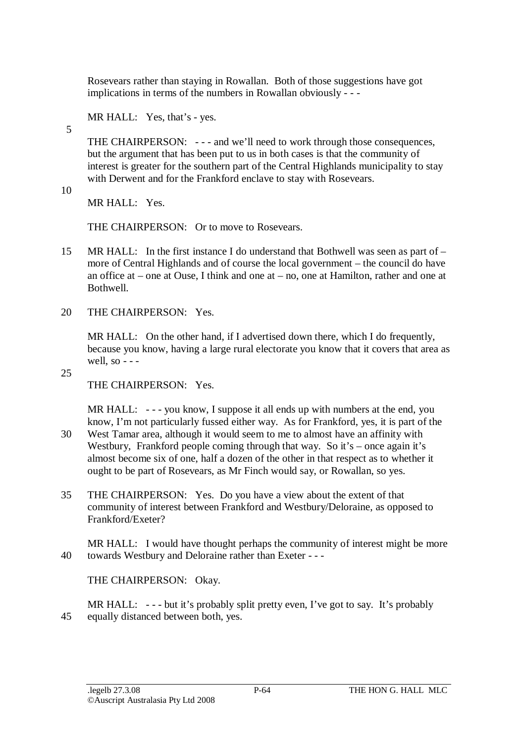Rosevears rather than staying in Rowallan. Both of those suggestions have got implications in terms of the numbers in Rowallan obviously - - -

MR HALL: Yes, that's - yes.

THE CHAIRPERSON: - - - and we'll need to work through those consequences, but the argument that has been put to us in both cases is that the community of interest is greater for the southern part of the Central Highlands municipality to stay with Derwent and for the Frankford enclave to stay with Rosevears.

10

5

MR HALL: Yes.

THE CHAIRPERSON: Or to move to Rosevears.

- 15 MR HALL: In the first instance I do understand that Bothwell was seen as part of more of Central Highlands and of course the local government – the council do have an office at – one at Ouse, I think and one at – no, one at Hamilton, rather and one at Bothwell.
- 20 THE CHAIRPERSON: Yes.

MR HALL: On the other hand, if I advertised down there, which I do frequently, because you know, having a large rural electorate you know that it covers that area as well, so  $-$ 

25

THE CHAIRPERSON: Yes.

MR HALL: --- you know, I suppose it all ends up with numbers at the end, you know, I'm not particularly fussed either way. As for Frankford, yes, it is part of the

- 30 West Tamar area, although it would seem to me to almost have an affinity with Westbury, Frankford people coming through that way. So it's – once again it's almost become six of one, half a dozen of the other in that respect as to whether it ought to be part of Rosevears, as Mr Finch would say, or Rowallan, so yes.
- 35 THE CHAIRPERSON: Yes. Do you have a view about the extent of that community of interest between Frankford and Westbury/Deloraine, as opposed to Frankford/Exeter?

MR HALL: I would have thought perhaps the community of interest might be more 40 towards Westbury and Deloraine rather than Exeter - - -

THE CHAIRPERSON: Okay.

MR HALL: --- but it's probably split pretty even, I've got to say. It's probably 45 equally distanced between both, yes.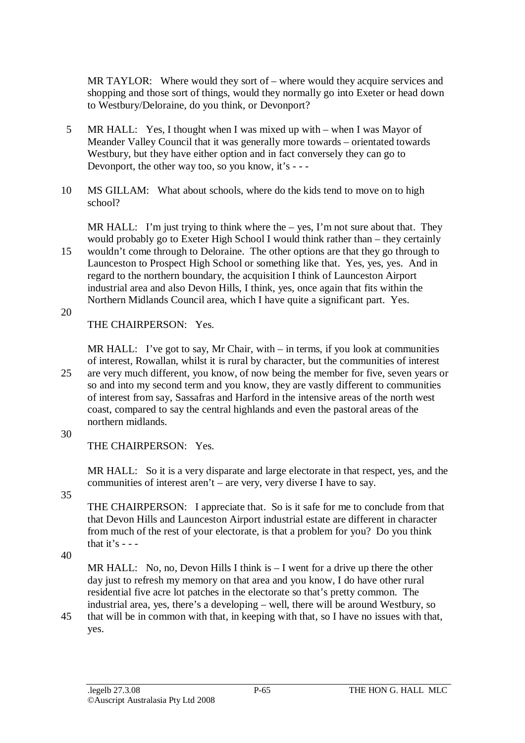MR TAYLOR: Where would they sort of – where would they acquire services and shopping and those sort of things, would they normally go into Exeter or head down to Westbury/Deloraine, do you think, or Devonport?

- 5 MR HALL: Yes, I thought when I was mixed up with when I was Mayor of Meander Valley Council that it was generally more towards – orientated towards Westbury, but they have either option and in fact conversely they can go to Devonport, the other way too, so you know, it's - - -
- 10 MS GILLAM: What about schools, where do the kids tend to move on to high school?

MR HALL: I'm just trying to think where the  $-$  yes, I'm not sure about that. They would probably go to Exeter High School I would think rather than – they certainly 15 wouldn't come through to Deloraine. The other options are that they go through to

- Launceston to Prospect High School or something like that. Yes, yes, yes. And in regard to the northern boundary, the acquisition I think of Launceston Airport industrial area and also Devon Hills, I think, yes, once again that fits within the Northern Midlands Council area, which I have quite a significant part. Yes.
- 20

THE CHAIRPERSON: Yes.

MR HALL: I've got to say, Mr Chair, with  $-$  in terms, if you look at communities of interest, Rowallan, whilst it is rural by character, but the communities of interest 25 are very much different, you know, of now being the member for five, seven years or so and into my second term and you know, they are vastly different to communities of interest from say, Sassafras and Harford in the intensive areas of the north west coast, compared to say the central highlands and even the pastoral areas of the northern midlands.

#### 30

THE CHAIRPERSON: Yes.

MR HALL: So it is a very disparate and large electorate in that respect, yes, and the communities of interest aren't – are very, very diverse I have to say.

35

THE CHAIRPERSON: I appreciate that. So is it safe for me to conclude from that that Devon Hills and Launceston Airport industrial estate are different in character from much of the rest of your electorate, is that a problem for you? Do you think that it's  $-$  -

40

MR HALL: No, no, Devon Hills I think is  $-1$  went for a drive up there the other day just to refresh my memory on that area and you know, I do have other rural residential five acre lot patches in the electorate so that's pretty common. The industrial area, yes, there's a developing – well, there will be around Westbury, so

45 that will be in common with that, in keeping with that, so I have no issues with that, yes.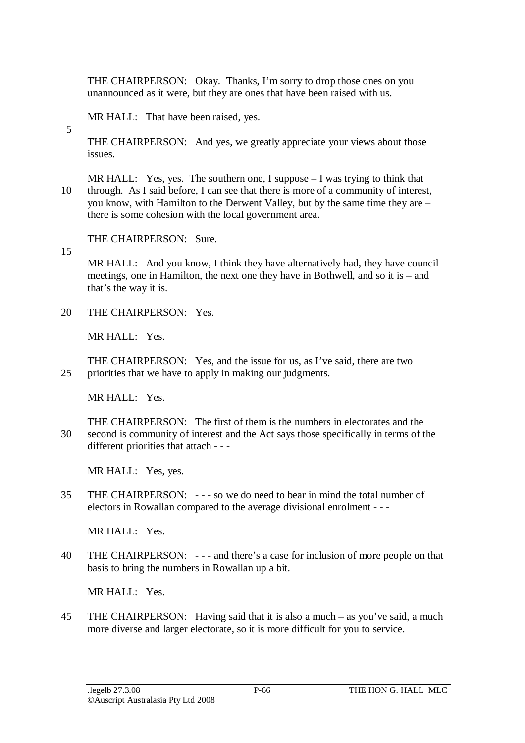THE CHAIRPERSON: Okay. Thanks, I'm sorry to drop those ones on you unannounced as it were, but they are ones that have been raised with us.

MR HALL: That have been raised, yes.

THE CHAIRPERSON: And yes, we greatly appreciate your views about those issues.

MR HALL: Yes, yes. The southern one, I suppose  $-$  I was trying to think that 10 through. As I said before, I can see that there is more of a community of interest, you know, with Hamilton to the Derwent Valley, but by the same time they are – there is some cohesion with the local government area.

THE CHAIRPERSON: Sure.

15

5

MR HALL: And you know, I think they have alternatively had, they have council meetings, one in Hamilton, the next one they have in Bothwell, and so it is – and that's the way it is.

20 THE CHAIRPERSON: Yes.

MR HALL: Yes.

THE CHAIRPERSON: Yes, and the issue for us, as I've said, there are two 25 priorities that we have to apply in making our judgments.

MR HALL: Yes.

THE CHAIRPERSON: The first of them is the numbers in electorates and the 30 second is community of interest and the Act says those specifically in terms of the different priorities that attach - - -

MR HALL: Yes, yes.

35 THE CHAIRPERSON: - - - so we do need to bear in mind the total number of electors in Rowallan compared to the average divisional enrolment - - -

MR HALL: Yes.

40 THE CHAIRPERSON: - - - and there's a case for inclusion of more people on that basis to bring the numbers in Rowallan up a bit.

MR HALL: Yes.

45 THE CHAIRPERSON: Having said that it is also a much – as you've said, a much more diverse and larger electorate, so it is more difficult for you to service.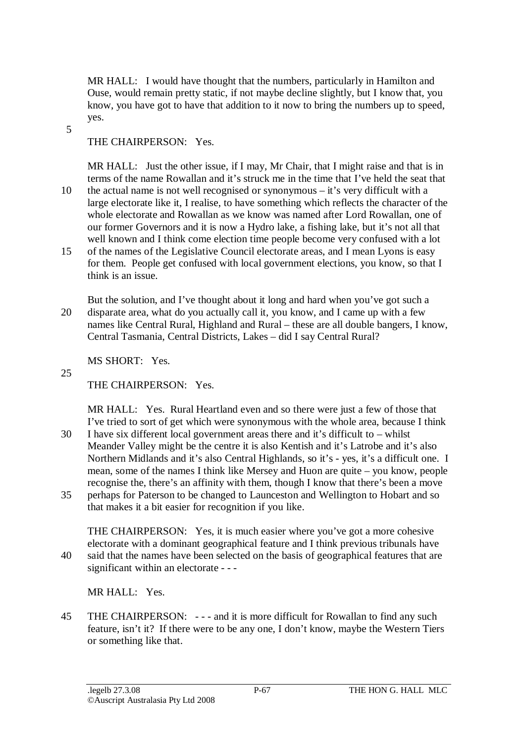MR HALL: I would have thought that the numbers, particularly in Hamilton and Ouse, would remain pretty static, if not maybe decline slightly, but I know that, you know, you have got to have that addition to it now to bring the numbers up to speed, yes.

5

## THE CHAIRPERSON: Yes.

MR HALL: Just the other issue, if I may, Mr Chair, that I might raise and that is in terms of the name Rowallan and it's struck me in the time that I've held the seat that 10 the actual name is not well recognised or synonymous – it's very difficult with a large electorate like it, I realise, to have something which reflects the character of the whole electorate and Rowallan as we know was named after Lord Rowallan, one of our former Governors and it is now a Hydro lake, a fishing lake, but it's not all that well known and I think come election time people become very confused with a lot

- 15 of the names of the Legislative Council electorate areas, and I mean Lyons is easy for them. People get confused with local government elections, you know, so that I think is an issue.
- But the solution, and I've thought about it long and hard when you've got such a 20 disparate area, what do you actually call it, you know, and I came up with a few names like Central Rural, Highland and Rural – these are all double bangers, I know, Central Tasmania, Central Districts, Lakes – did I say Central Rural?

MS SHORT: Yes.

25

THE CHAIRPERSON: Yes.

MR HALL: Yes. Rural Heartland even and so there were just a few of those that I've tried to sort of get which were synonymous with the whole area, because I think

- 30 I have six different local government areas there and it's difficult to whilst Meander Valley might be the centre it is also Kentish and it's Latrobe and it's also Northern Midlands and it's also Central Highlands, so it's - yes, it's a difficult one. I mean, some of the names I think like Mersey and Huon are quite – you know, people recognise the, there's an affinity with them, though I know that there's been a move
- 35 perhaps for Paterson to be changed to Launceston and Wellington to Hobart and so that makes it a bit easier for recognition if you like.

THE CHAIRPERSON: Yes, it is much easier where you've got a more cohesive electorate with a dominant geographical feature and I think previous tribunals have 40 said that the names have been selected on the basis of geographical features that are significant within an electorate - - -

MR HALL: Yes.

45 THE CHAIRPERSON: - - - and it is more difficult for Rowallan to find any such feature, isn't it? If there were to be any one, I don't know, maybe the Western Tiers or something like that.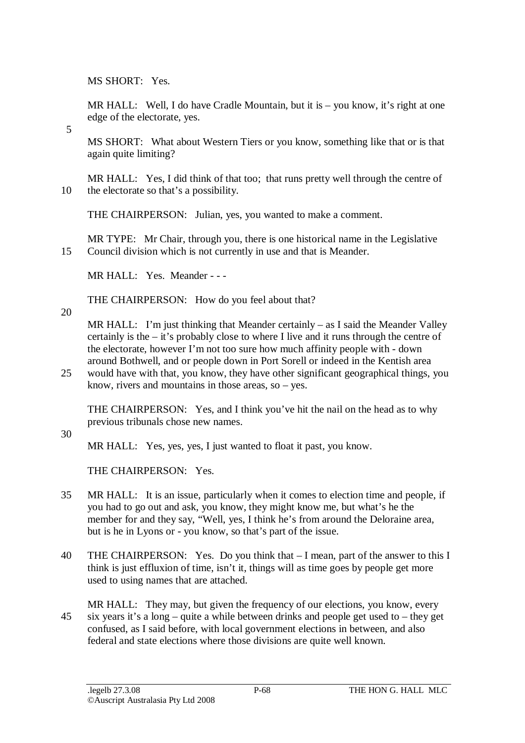MS SHORT: Yes.

MR HALL: Well, I do have Cradle Mountain, but it is – you know, it's right at one edge of the electorate, yes.

5

MS SHORT: What about Western Tiers or you know, something like that or is that again quite limiting?

MR HALL: Yes, I did think of that too; that runs pretty well through the centre of 10 the electorate so that's a possibility.

THE CHAIRPERSON: Julian, yes, you wanted to make a comment.

MR TYPE: Mr Chair, through you, there is one historical name in the Legislative 15 Council division which is not currently in use and that is Meander.

MR HALL: Yes. Meander - - -

THE CHAIRPERSON: How do you feel about that?

20

MR HALL: I'm just thinking that Meander certainly – as I said the Meander Valley certainly is the – it's probably close to where I live and it runs through the centre of the electorate, however I'm not too sure how much affinity people with - down around Bothwell, and or people down in Port Sorell or indeed in the Kentish area

25 would have with that, you know, they have other significant geographical things, you know, rivers and mountains in those areas, so – yes.

THE CHAIRPERSON: Yes, and I think you've hit the nail on the head as to why previous tribunals chose new names.

30

MR HALL: Yes, yes, yes, I just wanted to float it past, you know.

THE CHAIRPERSON: Yes.

- 35 MR HALL: It is an issue, particularly when it comes to election time and people, if you had to go out and ask, you know, they might know me, but what's he the member for and they say, "Well, yes, I think he's from around the Deloraine area, but is he in Lyons or - you know, so that's part of the issue.
- 40 THE CHAIRPERSON: Yes. Do you think that I mean, part of the answer to this I think is just effluxion of time, isn't it, things will as time goes by people get more used to using names that are attached.
- MR HALL: They may, but given the frequency of our elections, you know, every 45 six years it's a long – quite a while between drinks and people get used to – they get confused, as I said before, with local government elections in between, and also federal and state elections where those divisions are quite well known.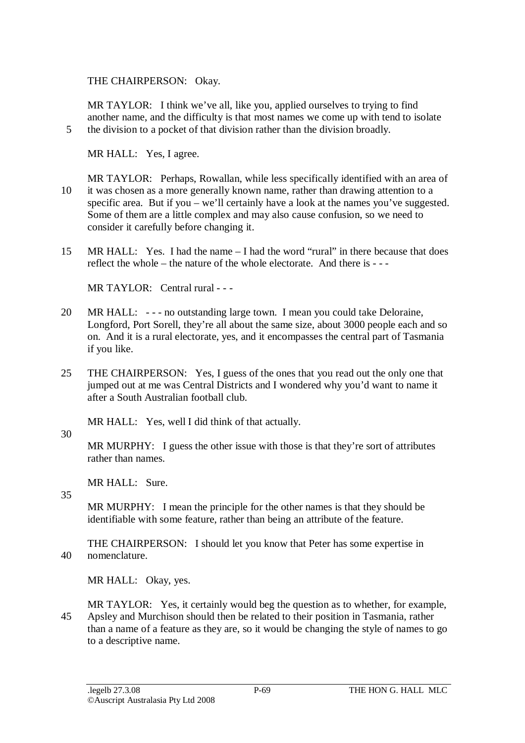THE CHAIRPERSON: Okay.

MR TAYLOR: I think we've all, like you, applied ourselves to trying to find another name, and the difficulty is that most names we come up with tend to isolate 5 the division to a pocket of that division rather than the division broadly.

MR HALL: Yes, I agree.

- MR TAYLOR: Perhaps, Rowallan, while less specifically identified with an area of 10 it was chosen as a more generally known name, rather than drawing attention to a specific area. But if you – we'll certainly have a look at the names you've suggested. Some of them are a little complex and may also cause confusion, so we need to consider it carefully before changing it.
- 15 MR HALL: Yes. I had the name I had the word "rural" in there because that does reflect the whole – the nature of the whole electorate. And there is  $-$

 $MR$  TAYLOR: Central rural - --

- 20 MR HALL: - no outstanding large town. I mean you could take Deloraine, Longford, Port Sorell, they're all about the same size, about 3000 people each and so on. And it is a rural electorate, yes, and it encompasses the central part of Tasmania if you like.
- 25 THE CHAIRPERSON: Yes, I guess of the ones that you read out the only one that jumped out at me was Central Districts and I wondered why you'd want to name it after a South Australian football club.

MR HALL: Yes, well I did think of that actually.

#### 30

MR MURPHY: I guess the other issue with those is that they're sort of attributes rather than names.

MR HALL: Sure.

35

MR MURPHY: I mean the principle for the other names is that they should be identifiable with some feature, rather than being an attribute of the feature.

THE CHAIRPERSON: I should let you know that Peter has some expertise in 40 nomenclature.

MR HALL: Okay, yes.

MR TAYLOR: Yes, it certainly would beg the question as to whether, for example, 45 Apsley and Murchison should then be related to their position in Tasmania, rather than a name of a feature as they are, so it would be changing the style of names to go to a descriptive name.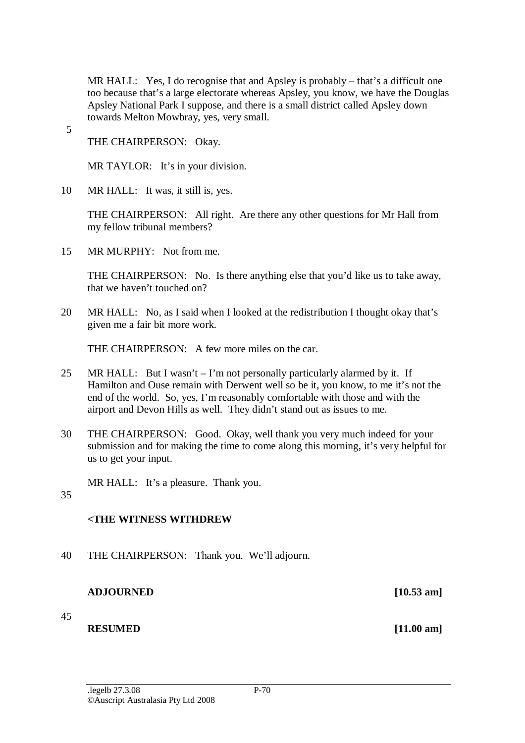MR HALL: Yes, I do recognise that and Apsley is probably – that's a difficult one too because that's a large electorate whereas Apsley, you know, we have the Douglas Apsley National Park I suppose, and there is a small district called Apsley down towards Melton Mowbray, yes, very small.

5

THE CHAIRPERSON: Okay.

MR TAYLOR: It's in your division.

10 MR HALL: It was, it still is, yes.

THE CHAIRPERSON: All right. Are there any other questions for Mr Hall from my fellow tribunal members?

15 MR MURPHY: Not from me.

THE CHAIRPERSON: No. Is there anything else that you'd like us to take away, that we haven't touched on?

20 MR HALL: No, as I said when I looked at the redistribution I thought okay that's given me a fair bit more work.

THE CHAIRPERSON: A few more miles on the car.

- 25 MR HALL: But I wasn't I'm not personally particularly alarmed by it. If Hamilton and Ouse remain with Derwent well so be it, you know, to me it's not the end of the world. So, yes, I'm reasonably comfortable with those and with the airport and Devon Hills as well. They didn't stand out as issues to me.
- 30 THE CHAIRPERSON: Good. Okay, well thank you very much indeed for your submission and for making the time to come along this morning, it's very helpful for us to get your input.
	- MR HALL: It's a pleasure. Thank you.
- 35

# **<THE WITNESS WITHDREW**

40 THE CHAIRPERSON: Thank you. We'll adjourn.

#### **ADJOURNED [10.53 am]**

45

# **RESUMED** [11.00 am]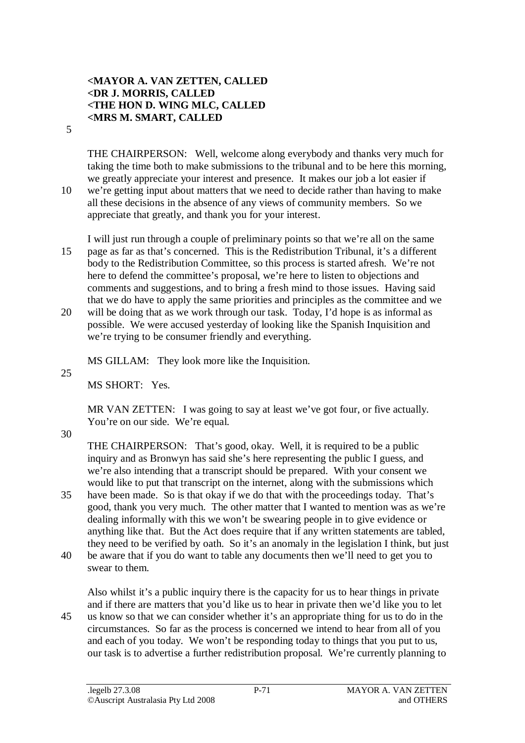#### **<MAYOR A. VAN ZETTEN, CALLED <DR J. MORRIS, CALLED <THE HON D. WING MLC, CALLED <MRS M. SMART, CALLED**

5

THE CHAIRPERSON: Well, welcome along everybody and thanks very much for taking the time both to make submissions to the tribunal and to be here this morning, we greatly appreciate your interest and presence. It makes our job a lot easier if 10 we're getting input about matters that we need to decide rather than having to make all these decisions in the absence of any views of community members. So we appreciate that greatly, and thank you for your interest.

I will just run through a couple of preliminary points so that we're all on the same 15 page as far as that's concerned. This is the Redistribution Tribunal, it's a different body to the Redistribution Committee, so this process is started afresh. We're not here to defend the committee's proposal, we're here to listen to objections and comments and suggestions, and to bring a fresh mind to those issues. Having said that we do have to apply the same priorities and principles as the committee and we

20 will be doing that as we work through our task. Today, I'd hope is as informal as possible. We were accused yesterday of looking like the Spanish Inquisition and we're trying to be consumer friendly and everything.

MS GILLAM: They look more like the Inquisition.

25

MS SHORT: Yes.

MR VAN ZETTEN: I was going to say at least we've got four, or five actually. You're on our side. We're equal.

30

THE CHAIRPERSON: That's good, okay. Well, it is required to be a public inquiry and as Bronwyn has said she's here representing the public I guess, and we're also intending that a transcript should be prepared. With your consent we would like to put that transcript on the internet, along with the submissions which

- 35 have been made. So is that okay if we do that with the proceedings today. That's good, thank you very much. The other matter that I wanted to mention was as we're dealing informally with this we won't be swearing people in to give evidence or anything like that. But the Act does require that if any written statements are tabled, they need to be verified by oath. So it's an anomaly in the legislation I think, but just
- 40 be aware that if you do want to table any documents then we'll need to get you to swear to them.

Also whilst it's a public inquiry there is the capacity for us to hear things in private and if there are matters that you'd like us to hear in private then we'd like you to let 45 us know so that we can consider whether it's an appropriate thing for us to do in the circumstances. So far as the process is concerned we intend to hear from all of you and each of you today. We won't be responding today to things that you put to us, our task is to advertise a further redistribution proposal. We're currently planning to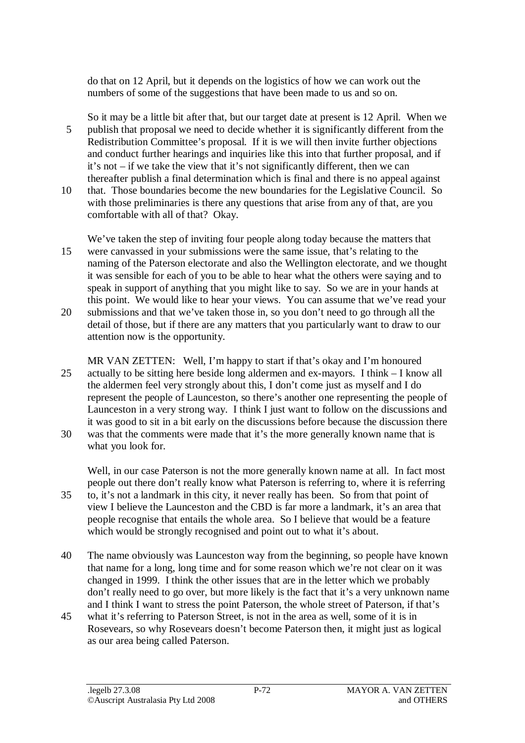do that on 12 April, but it depends on the logistics of how we can work out the numbers of some of the suggestions that have been made to us and so on.

So it may be a little bit after that, but our target date at present is 12 April. When we 5 publish that proposal we need to decide whether it is significantly different from the Redistribution Committee's proposal. If it is we will then invite further objections and conduct further hearings and inquiries like this into that further proposal, and if it's not – if we take the view that it's not significantly different, then we can thereafter publish a final determination which is final and there is no appeal against

10 that. Those boundaries become the new boundaries for the Legislative Council. So with those preliminaries is there any questions that arise from any of that, are you comfortable with all of that? Okay.

We've taken the step of inviting four people along today because the matters that 15 were canvassed in your submissions were the same issue, that's relating to the naming of the Paterson electorate and also the Wellington electorate, and we thought it was sensible for each of you to be able to hear what the others were saying and to speak in support of anything that you might like to say. So we are in your hands at this point. We would like to hear your views. You can assume that we've read your 20 submissions and that we've taken those in, so you don't need to go through all the detail of those, but if there are any matters that you particularly want to draw to our

- MR VAN ZETTEN: Well, I'm happy to start if that's okay and I'm honoured 25 actually to be sitting here beside long aldermen and ex-mayors. I think – I know all the aldermen feel very strongly about this, I don't come just as myself and I do represent the people of Launceston, so there's another one representing the people of Launceston in a very strong way. I think I just want to follow on the discussions and it was good to sit in a bit early on the discussions before because the discussion there
- 30 was that the comments were made that it's the more generally known name that is what you look for.

Well, in our case Paterson is not the more generally known name at all. In fact most people out there don't really know what Paterson is referring to, where it is referring 35 to, it's not a landmark in this city, it never really has been. So from that point of view I believe the Launceston and the CBD is far more a landmark, it's an area that people recognise that entails the whole area. So I believe that would be a feature which would be strongly recognised and point out to what it's about.

- 40 The name obviously was Launceston way from the beginning, so people have known that name for a long, long time and for some reason which we're not clear on it was changed in 1999. I think the other issues that are in the letter which we probably don't really need to go over, but more likely is the fact that it's a very unknown name and I think I want to stress the point Paterson, the whole street of Paterson, if that's
- 45 what it's referring to Paterson Street, is not in the area as well, some of it is in Rosevears, so why Rosevears doesn't become Paterson then, it might just as logical as our area being called Paterson.

attention now is the opportunity.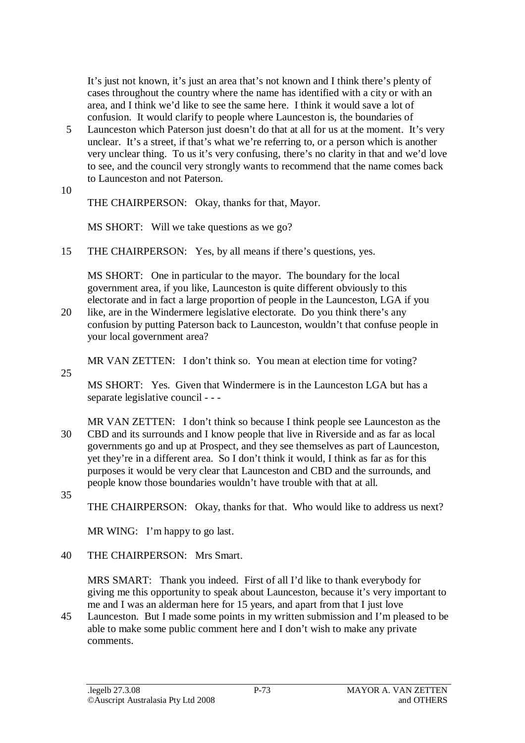It's just not known, it's just an area that's not known and I think there's plenty of cases throughout the country where the name has identified with a city or with an area, and I think we'd like to see the same here. I think it would save a lot of confusion. It would clarify to people where Launceston is, the boundaries of

- 5 Launceston which Paterson just doesn't do that at all for us at the moment. It's very unclear. It's a street, if that's what we're referring to, or a person which is another very unclear thing. To us it's very confusing, there's no clarity in that and we'd love to see, and the council very strongly wants to recommend that the name comes back to Launceston and not Paterson.
- 10

THE CHAIRPERSON: Okay, thanks for that, Mayor.

MS SHORT: Will we take questions as we go?

15 THE CHAIRPERSON: Yes, by all means if there's questions, yes.

MS SHORT: One in particular to the mayor. The boundary for the local government area, if you like, Launceston is quite different obviously to this electorate and in fact a large proportion of people in the Launceston, LGA if you

20 like, are in the Windermere legislative electorate. Do you think there's any confusion by putting Paterson back to Launceston, wouldn't that confuse people in your local government area?

MR VAN ZETTEN: I don't think so. You mean at election time for voting?

25

MS SHORT: Yes. Given that Windermere is in the Launceston LGA but has a separate legislative council - - -

- MR VAN ZETTEN: I don't think so because I think people see Launceston as the 30 CBD and its surrounds and I know people that live in Riverside and as far as local governments go and up at Prospect, and they see themselves as part of Launceston, yet they're in a different area. So I don't think it would, I think as far as for this purposes it would be very clear that Launceston and CBD and the surrounds, and people know those boundaries wouldn't have trouble with that at all.
- 35

THE CHAIRPERSON: Okay, thanks for that. Who would like to address us next?

MR WING: I'm happy to go last.

40 THE CHAIRPERSON: Mrs Smart.

MRS SMART: Thank you indeed. First of all I'd like to thank everybody for giving me this opportunity to speak about Launceston, because it's very important to me and I was an alderman here for 15 years, and apart from that I just love

45 Launceston. But I made some points in my written submission and I'm pleased to be able to make some public comment here and I don't wish to make any private comments.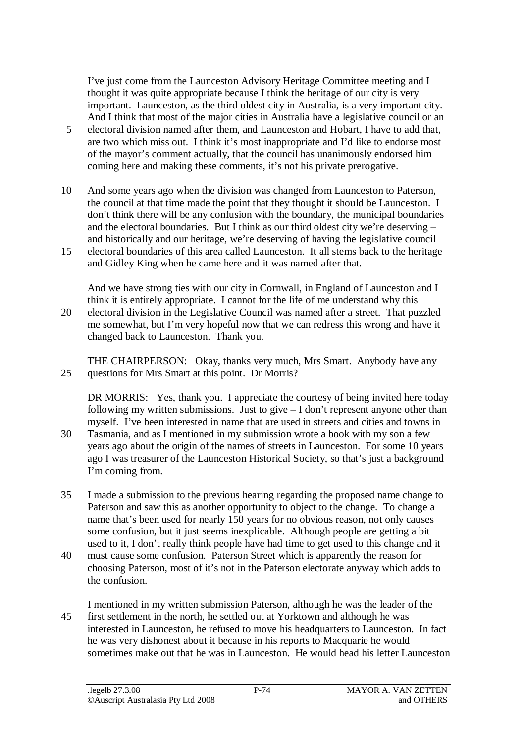I've just come from the Launceston Advisory Heritage Committee meeting and I thought it was quite appropriate because I think the heritage of our city is very important. Launceston, as the third oldest city in Australia, is a very important city. And I think that most of the major cities in Australia have a legislative council or an

- 5 electoral division named after them, and Launceston and Hobart, I have to add that, are two which miss out. I think it's most inappropriate and I'd like to endorse most of the mayor's comment actually, that the council has unanimously endorsed him coming here and making these comments, it's not his private prerogative.
- 10 And some years ago when the division was changed from Launceston to Paterson, the council at that time made the point that they thought it should be Launceston. I don't think there will be any confusion with the boundary, the municipal boundaries and the electoral boundaries. But I think as our third oldest city we're deserving – and historically and our heritage, we're deserving of having the legislative council
- 15 electoral boundaries of this area called Launceston. It all stems back to the heritage and Gidley King when he came here and it was named after that.

And we have strong ties with our city in Cornwall, in England of Launceston and I think it is entirely appropriate. I cannot for the life of me understand why this 20 electoral division in the Legislative Council was named after a street. That puzzled me somewhat, but I'm very hopeful now that we can redress this wrong and have it changed back to Launceston. Thank you.

THE CHAIRPERSON: Okay, thanks very much, Mrs Smart. Anybody have any 25 questions for Mrs Smart at this point. Dr Morris?

DR MORRIS: Yes, thank you. I appreciate the courtesy of being invited here today following my written submissions. Just to give – I don't represent anyone other than myself. I've been interested in name that are used in streets and cities and towns in

- 30 Tasmania, and as I mentioned in my submission wrote a book with my son a few years ago about the origin of the names of streets in Launceston. For some 10 years ago I was treasurer of the Launceston Historical Society, so that's just a background I'm coming from.
- 35 I made a submission to the previous hearing regarding the proposed name change to Paterson and saw this as another opportunity to object to the change. To change a name that's been used for nearly 150 years for no obvious reason, not only causes some confusion, but it just seems inexplicable. Although people are getting a bit used to it, I don't really think people have had time to get used to this change and it
- 40 must cause some confusion. Paterson Street which is apparently the reason for choosing Paterson, most of it's not in the Paterson electorate anyway which adds to the confusion.
- I mentioned in my written submission Paterson, although he was the leader of the 45 first settlement in the north, he settled out at Yorktown and although he was interested in Launceston, he refused to move his headquarters to Launceston. In fact he was very dishonest about it because in his reports to Macquarie he would sometimes make out that he was in Launceston. He would head his letter Launceston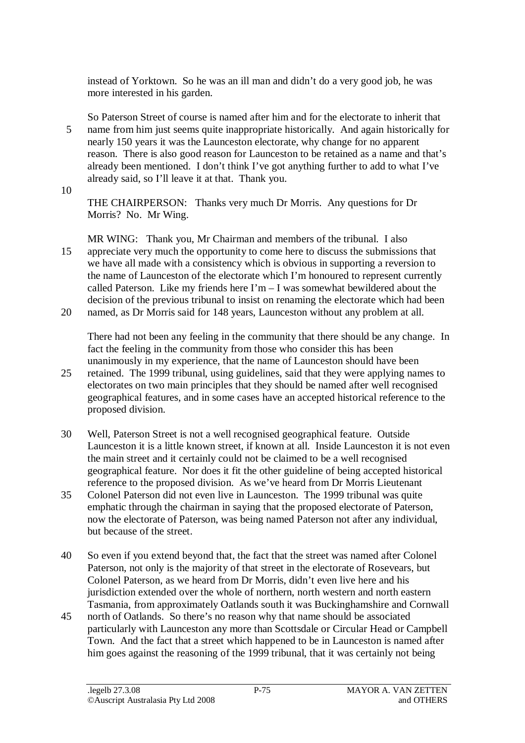instead of Yorktown. So he was an ill man and didn't do a very good job, he was more interested in his garden.

So Paterson Street of course is named after him and for the electorate to inherit that 5 name from him just seems quite inappropriate historically. And again historically for nearly 150 years it was the Launceston electorate, why change for no apparent reason. There is also good reason for Launceston to be retained as a name and that's already been mentioned. I don't think I've got anything further to add to what I've already said, so I'll leave it at that. Thank you.

10

THE CHAIRPERSON: Thanks very much Dr Morris. Any questions for Dr Morris? No. Mr Wing.

MR WING: Thank you, Mr Chairman and members of the tribunal. I also 15 appreciate very much the opportunity to come here to discuss the submissions that we have all made with a consistency which is obvious in supporting a reversion to the name of Launceston of the electorate which I'm honoured to represent currently called Paterson. Like my friends here  $\Gamma m - I$  was somewhat bewildered about the decision of the previous tribunal to insist on renaming the electorate which had been 20 named, as Dr Morris said for 148 years, Launceston without any problem at all.

There had not been any feeling in the community that there should be any change. In fact the feeling in the community from those who consider this has been unanimously in my experience, that the name of Launceston should have been

- 25 retained. The 1999 tribunal, using guidelines, said that they were applying names to electorates on two main principles that they should be named after well recognised geographical features, and in some cases have an accepted historical reference to the proposed division.
- 30 Well, Paterson Street is not a well recognised geographical feature. Outside Launceston it is a little known street, if known at all. Inside Launceston it is not even the main street and it certainly could not be claimed to be a well recognised geographical feature. Nor does it fit the other guideline of being accepted historical reference to the proposed division. As we've heard from Dr Morris Lieutenant
- 35 Colonel Paterson did not even live in Launceston. The 1999 tribunal was quite emphatic through the chairman in saying that the proposed electorate of Paterson, now the electorate of Paterson, was being named Paterson not after any individual, but because of the street.
- 40 So even if you extend beyond that, the fact that the street was named after Colonel Paterson, not only is the majority of that street in the electorate of Rosevears, but Colonel Paterson, as we heard from Dr Morris, didn't even live here and his jurisdiction extended over the whole of northern, north western and north eastern Tasmania, from approximately Oatlands south it was Buckinghamshire and Cornwall
- 45 north of Oatlands. So there's no reason why that name should be associated particularly with Launceston any more than Scottsdale or Circular Head or Campbell Town. And the fact that a street which happened to be in Launceston is named after him goes against the reasoning of the 1999 tribunal, that it was certainly not being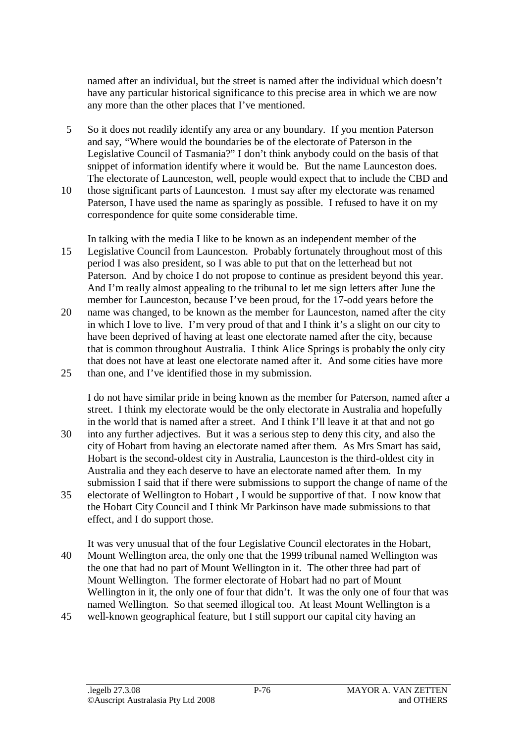named after an individual, but the street is named after the individual which doesn't have any particular historical significance to this precise area in which we are now any more than the other places that I've mentioned.

- 5 So it does not readily identify any area or any boundary. If you mention Paterson and say, "Where would the boundaries be of the electorate of Paterson in the Legislative Council of Tasmania?" I don't think anybody could on the basis of that snippet of information identify where it would be. But the name Launceston does. The electorate of Launceston, well, people would expect that to include the CBD and
- 10 those significant parts of Launceston. I must say after my electorate was renamed Paterson, I have used the name as sparingly as possible. I refused to have it on my correspondence for quite some considerable time.

In talking with the media I like to be known as an independent member of the 15 Legislative Council from Launceston. Probably fortunately throughout most of this period I was also president, so I was able to put that on the letterhead but not Paterson. And by choice I do not propose to continue as president beyond this year. And I'm really almost appealing to the tribunal to let me sign letters after June the member for Launceston, because I've been proud, for the 17-odd years before the

20 name was changed, to be known as the member for Launceston, named after the city in which I love to live. I'm very proud of that and I think it's a slight on our city to have been deprived of having at least one electorate named after the city, because that is common throughout Australia. I think Alice Springs is probably the only city that does not have at least one electorate named after it. And some cities have more 25 than one, and I've identified those in my submission.

I do not have similar pride in being known as the member for Paterson, named after a street. I think my electorate would be the only electorate in Australia and hopefully in the world that is named after a street. And I think I'll leave it at that and not go 30 into any further adjectives. But it was a serious step to deny this city, and also the city of Hobart from having an electorate named after them. As Mrs Smart has said, Hobart is the second-oldest city in Australia, Launceston is the third-oldest city in Australia and they each deserve to have an electorate named after them. In my

submission I said that if there were submissions to support the change of name of the 35 electorate of Wellington to Hobart , I would be supportive of that. I now know that the Hobart City Council and I think Mr Parkinson have made submissions to that effect, and I do support those.

It was very unusual that of the four Legislative Council electorates in the Hobart, 40 Mount Wellington area, the only one that the 1999 tribunal named Wellington was the one that had no part of Mount Wellington in it. The other three had part of Mount Wellington. The former electorate of Hobart had no part of Mount Wellington in it, the only one of four that didn't. It was the only one of four that was named Wellington. So that seemed illogical too. At least Mount Wellington is a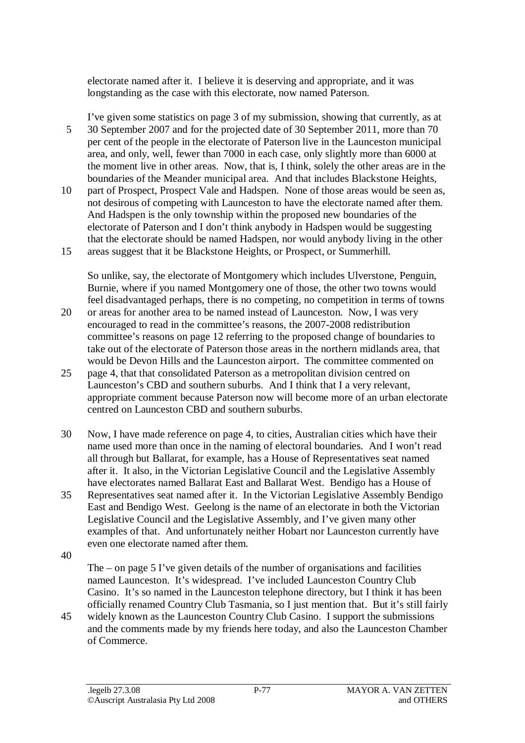electorate named after it. I believe it is deserving and appropriate, and it was longstanding as the case with this electorate, now named Paterson.

I've given some statistics on page 3 of my submission, showing that currently, as at 5 30 September 2007 and for the projected date of 30 September 2011, more than 70 per cent of the people in the electorate of Paterson live in the Launceston municipal area, and only, well, fewer than 7000 in each case, only slightly more than 6000 at the moment live in other areas. Now, that is, I think, solely the other areas are in the boundaries of the Meander municipal area. And that includes Blackstone Heights,

10 part of Prospect, Prospect Vale and Hadspen. None of those areas would be seen as, not desirous of competing with Launceston to have the electorate named after them. And Hadspen is the only township within the proposed new boundaries of the electorate of Paterson and I don't think anybody in Hadspen would be suggesting that the electorate should be named Hadspen, nor would anybody living in the other 15 areas suggest that it be Blackstone Heights, or Prospect, or Summerhill.

So unlike, say, the electorate of Montgomery which includes Ulverstone, Penguin, Burnie, where if you named Montgomery one of those, the other two towns would feel disadvantaged perhaps, there is no competing, no competition in terms of towns

- 20 or areas for another area to be named instead of Launceston. Now, I was very encouraged to read in the committee's reasons, the 2007-2008 redistribution committee's reasons on page 12 referring to the proposed change of boundaries to take out of the electorate of Paterson those areas in the northern midlands area, that would be Devon Hills and the Launceston airport. The committee commented on
- 25 page 4, that that consolidated Paterson as a metropolitan division centred on Launceston's CBD and southern suburbs. And I think that I a very relevant, appropriate comment because Paterson now will become more of an urban electorate centred on Launceston CBD and southern suburbs.
- 30 Now, I have made reference on page 4, to cities, Australian cities which have their name used more than once in the naming of electoral boundaries. And I won't read all through but Ballarat, for example, has a House of Representatives seat named after it. It also, in the Victorian Legislative Council and the Legislative Assembly have electorates named Ballarat East and Ballarat West. Bendigo has a House of
- 35 Representatives seat named after it. In the Victorian Legislative Assembly Bendigo East and Bendigo West. Geelong is the name of an electorate in both the Victorian Legislative Council and the Legislative Assembly, and I've given many other examples of that. And unfortunately neither Hobart nor Launceston currently have even one electorate named after them.
- 40

The – on page 5 I've given details of the number of organisations and facilities named Launceston. It's widespread. I've included Launceston Country Club Casino. It's so named in the Launceston telephone directory, but I think it has been officially renamed Country Club Tasmania, so I just mention that. But it's still fairly

45 widely known as the Launceston Country Club Casino. I support the submissions and the comments made by my friends here today, and also the Launceston Chamber of Commerce.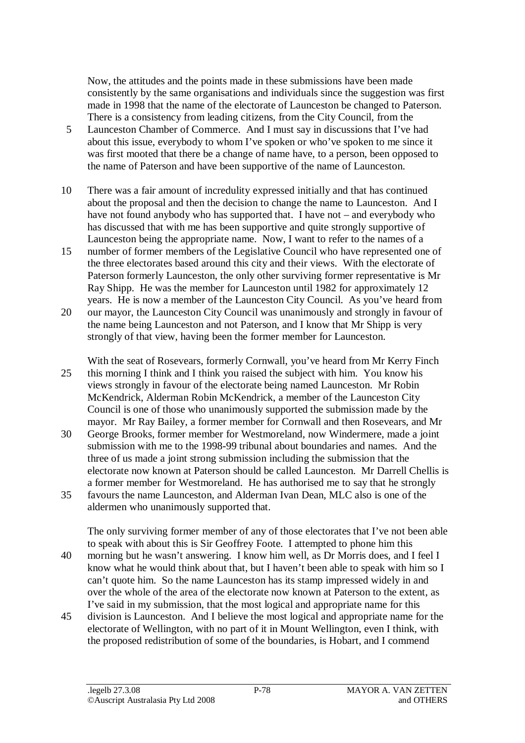Now, the attitudes and the points made in these submissions have been made consistently by the same organisations and individuals since the suggestion was first made in 1998 that the name of the electorate of Launceston be changed to Paterson. There is a consistency from leading citizens, from the City Council, from the

- 5 Launceston Chamber of Commerce. And I must say in discussions that I've had about this issue, everybody to whom I've spoken or who've spoken to me since it was first mooted that there be a change of name have, to a person, been opposed to the name of Paterson and have been supportive of the name of Launceston.
- 10 There was a fair amount of incredulity expressed initially and that has continued about the proposal and then the decision to change the name to Launceston. And I have not found anybody who has supported that. I have not – and everybody who has discussed that with me has been supportive and quite strongly supportive of Launceston being the appropriate name. Now, I want to refer to the names of a
- 15 number of former members of the Legislative Council who have represented one of the three electorates based around this city and their views. With the electorate of Paterson formerly Launceston, the only other surviving former representative is Mr Ray Shipp. He was the member for Launceston until 1982 for approximately 12 years. He is now a member of the Launceston City Council. As you've heard from
- 20 our mayor, the Launceston City Council was unanimously and strongly in favour of the name being Launceston and not Paterson, and I know that Mr Shipp is very strongly of that view, having been the former member for Launceston.

With the seat of Rosevears, formerly Cornwall, you've heard from Mr Kerry Finch 25 this morning I think and I think you raised the subject with him. You know his views strongly in favour of the electorate being named Launceston. Mr Robin McKendrick, Alderman Robin McKendrick, a member of the Launceston City Council is one of those who unanimously supported the submission made by the mayor. Mr Ray Bailey, a former member for Cornwall and then Rosevears, and Mr

- 30 George Brooks, former member for Westmoreland, now Windermere, made a joint submission with me to the 1998-99 tribunal about boundaries and names. And the three of us made a joint strong submission including the submission that the electorate now known at Paterson should be called Launceston. Mr Darrell Chellis is a former member for Westmoreland. He has authorised me to say that he strongly
- 35 favours the name Launceston, and Alderman Ivan Dean, MLC also is one of the aldermen who unanimously supported that.

The only surviving former member of any of those electorates that I've not been able to speak with about this is Sir Geoffrey Foote. I attempted to phone him this

- 40 morning but he wasn't answering. I know him well, as Dr Morris does, and I feel I know what he would think about that, but I haven't been able to speak with him so I can't quote him. So the name Launceston has its stamp impressed widely in and over the whole of the area of the electorate now known at Paterson to the extent, as I've said in my submission, that the most logical and appropriate name for this
- 45 division is Launceston. And I believe the most logical and appropriate name for the electorate of Wellington, with no part of it in Mount Wellington, even I think, with the proposed redistribution of some of the boundaries, is Hobart, and I commend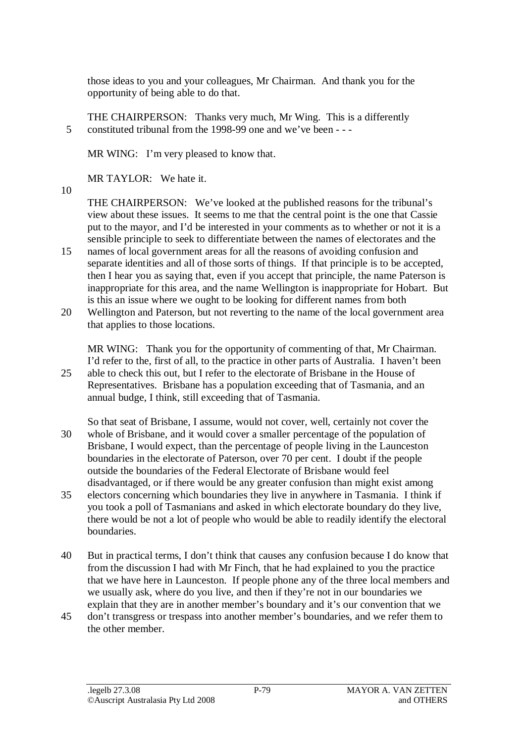those ideas to you and your colleagues, Mr Chairman. And thank you for the opportunity of being able to do that.

THE CHAIRPERSON: Thanks very much, Mr Wing. This is a differently 5 constituted tribunal from the 1998-99 one and we've been - - -

MR WING: I'm very pleased to know that.

MR TAYLOR: We hate it.

10

THE CHAIRPERSON: We've looked at the published reasons for the tribunal's view about these issues. It seems to me that the central point is the one that Cassie put to the mayor, and I'd be interested in your comments as to whether or not it is a sensible principle to seek to differentiate between the names of electorates and the

- 15 names of local government areas for all the reasons of avoiding confusion and separate identities and all of those sorts of things. If that principle is to be accepted, then I hear you as saying that, even if you accept that principle, the name Paterson is inappropriate for this area, and the name Wellington is inappropriate for Hobart. But is this an issue where we ought to be looking for different names from both
- 20 Wellington and Paterson, but not reverting to the name of the local government area that applies to those locations.

MR WING: Thank you for the opportunity of commenting of that, Mr Chairman. I'd refer to the, first of all, to the practice in other parts of Australia. I haven't been 25 able to check this out, but I refer to the electorate of Brisbane in the House of Representatives. Brisbane has a population exceeding that of Tasmania, and an annual budge, I think, still exceeding that of Tasmania.

- So that seat of Brisbane, I assume, would not cover, well, certainly not cover the 30 whole of Brisbane, and it would cover a smaller percentage of the population of Brisbane, I would expect, than the percentage of people living in the Launceston boundaries in the electorate of Paterson, over 70 per cent. I doubt if the people outside the boundaries of the Federal Electorate of Brisbane would feel disadvantaged, or if there would be any greater confusion than might exist among
- 35 electors concerning which boundaries they live in anywhere in Tasmania. I think if you took a poll of Tasmanians and asked in which electorate boundary do they live, there would be not a lot of people who would be able to readily identify the electoral **boundaries**
- 40 But in practical terms, I don't think that causes any confusion because I do know that from the discussion I had with Mr Finch, that he had explained to you the practice that we have here in Launceston. If people phone any of the three local members and we usually ask, where do you live, and then if they're not in our boundaries we explain that they are in another member's boundary and it's our convention that we
- 45 don't transgress or trespass into another member's boundaries, and we refer them to the other member.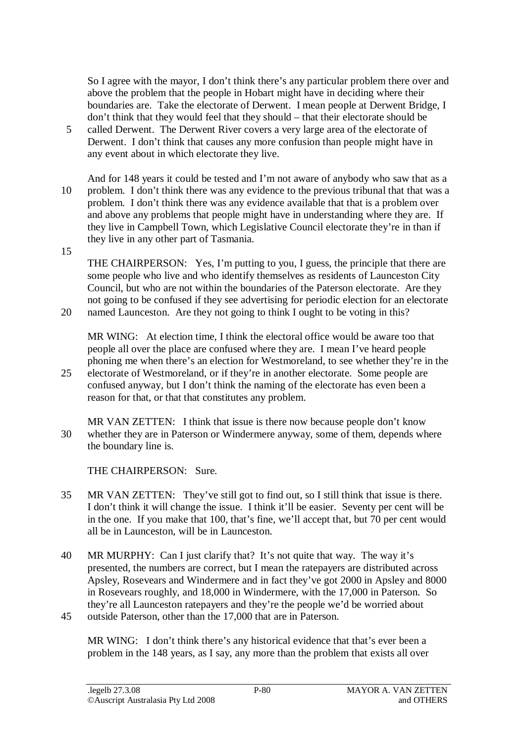So I agree with the mayor, I don't think there's any particular problem there over and above the problem that the people in Hobart might have in deciding where their boundaries are. Take the electorate of Derwent. I mean people at Derwent Bridge, I don't think that they would feel that they should – that their electorate should be

- 5 called Derwent. The Derwent River covers a very large area of the electorate of Derwent. I don't think that causes any more confusion than people might have in any event about in which electorate they live.
- And for 148 years it could be tested and I'm not aware of anybody who saw that as a 10 problem. I don't think there was any evidence to the previous tribunal that that was a problem. I don't think there was any evidence available that that is a problem over and above any problems that people might have in understanding where they are. If they live in Campbell Town, which Legislative Council electorate they're in than if they live in any other part of Tasmania.
- 15

THE CHAIRPERSON: Yes, I'm putting to you, I guess, the principle that there are some people who live and who identify themselves as residents of Launceston City Council, but who are not within the boundaries of the Paterson electorate. Are they not going to be confused if they see advertising for periodic election for an electorate 20 named Launceston. Are they not going to think I ought to be voting in this?

MR WING: At election time, I think the electoral office would be aware too that people all over the place are confused where they are. I mean I've heard people phoning me when there's an election for Westmoreland, to see whether they're in the

- 25 electorate of Westmoreland, or if they're in another electorate. Some people are confused anyway, but I don't think the naming of the electorate has even been a reason for that, or that that constitutes any problem.
- MR VAN ZETTEN: I think that issue is there now because people don't know 30 whether they are in Paterson or Windermere anyway, some of them, depends where the boundary line is.

THE CHAIRPERSON: Sure.

- 35 MR VAN ZETTEN: They've still got to find out, so I still think that issue is there. I don't think it will change the issue. I think it'll be easier. Seventy per cent will be in the one. If you make that 100, that's fine, we'll accept that, but 70 per cent would all be in Launceston, will be in Launceston.
- 40 MR MURPHY: Can I just clarify that? It's not quite that way. The way it's presented, the numbers are correct, but I mean the ratepayers are distributed across Apsley, Rosevears and Windermere and in fact they've got 2000 in Apsley and 8000 in Rosevears roughly, and 18,000 in Windermere, with the 17,000 in Paterson. So they're all Launceston ratepayers and they're the people we'd be worried about 45 outside Paterson, other than the 17,000 that are in Paterson.
	- MR WING: I don't think there's any historical evidence that that's ever been a problem in the 148 years, as I say, any more than the problem that exists all over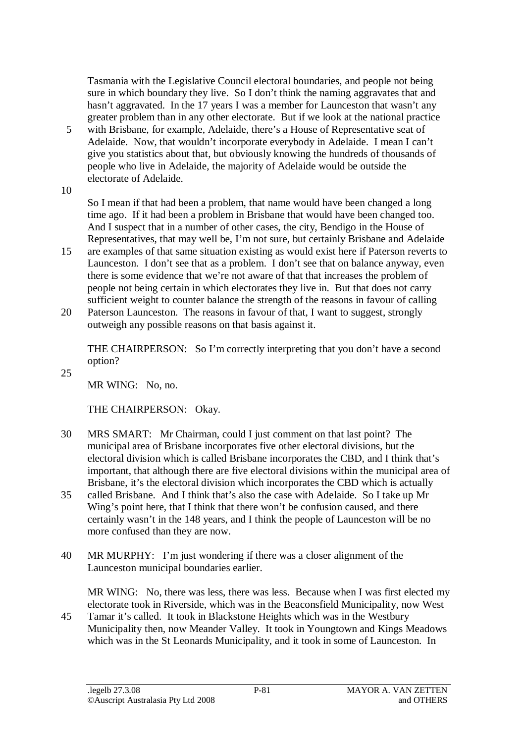Tasmania with the Legislative Council electoral boundaries, and people not being sure in which boundary they live. So I don't think the naming aggravates that and hasn't aggravated. In the 17 years I was a member for Launceston that wasn't any greater problem than in any other electorate. But if we look at the national practice

- 5 with Brisbane, for example, Adelaide, there's a House of Representative seat of Adelaide. Now, that wouldn't incorporate everybody in Adelaide. I mean I can't give you statistics about that, but obviously knowing the hundreds of thousands of people who live in Adelaide, the majority of Adelaide would be outside the electorate of Adelaide.
- 10

So I mean if that had been a problem, that name would have been changed a long time ago. If it had been a problem in Brisbane that would have been changed too. And I suspect that in a number of other cases, the city, Bendigo in the House of Representatives, that may well be, I'm not sure, but certainly Brisbane and Adelaide

- 15 are examples of that same situation existing as would exist here if Paterson reverts to Launceston. I don't see that as a problem. I don't see that on balance anyway, even there is some evidence that we're not aware of that that increases the problem of people not being certain in which electorates they live in. But that does not carry sufficient weight to counter balance the strength of the reasons in favour of calling
- 20 Paterson Launceston. The reasons in favour of that, I want to suggest, strongly outweigh any possible reasons on that basis against it.

THE CHAIRPERSON: So I'm correctly interpreting that you don't have a second option?

25

MR WING: No, no.

THE CHAIRPERSON: Okay.

- 30 MRS SMART: Mr Chairman, could I just comment on that last point? The municipal area of Brisbane incorporates five other electoral divisions, but the electoral division which is called Brisbane incorporates the CBD, and I think that's important, that although there are five electoral divisions within the municipal area of Brisbane, it's the electoral division which incorporates the CBD which is actually
- 35 called Brisbane. And I think that's also the case with Adelaide. So I take up Mr Wing's point here, that I think that there won't be confusion caused, and there certainly wasn't in the 148 years, and I think the people of Launceston will be no more confused than they are now.
- 40 MR MURPHY: I'm just wondering if there was a closer alignment of the Launceston municipal boundaries earlier.

MR WING: No, there was less, there was less. Because when I was first elected my electorate took in Riverside, which was in the Beaconsfield Municipality, now West

45 Tamar it's called. It took in Blackstone Heights which was in the Westbury Municipality then, now Meander Valley. It took in Youngtown and Kings Meadows which was in the St Leonards Municipality, and it took in some of Launceston. In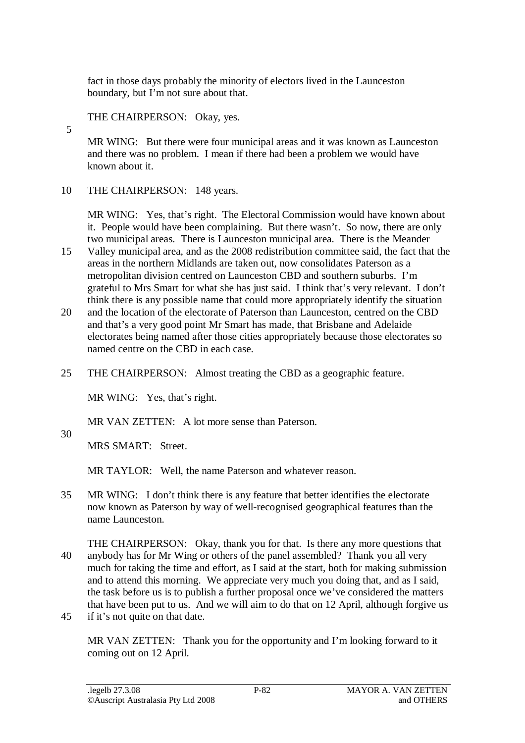fact in those days probably the minority of electors lived in the Launceston boundary, but I'm not sure about that.

## THE CHAIRPERSON: Okay, yes.

MR WING: But there were four municipal areas and it was known as Launceston and there was no problem. I mean if there had been a problem we would have known about it.

10 THE CHAIRPERSON: 148 years.

MR WING: Yes, that's right. The Electoral Commission would have known about it. People would have been complaining. But there wasn't. So now, there are only two municipal areas. There is Launceston municipal area. There is the Meander

- 15 Valley municipal area, and as the 2008 redistribution committee said, the fact that the areas in the northern Midlands are taken out, now consolidates Paterson as a metropolitan division centred on Launceston CBD and southern suburbs. I'm grateful to Mrs Smart for what she has just said. I think that's very relevant. I don't think there is any possible name that could more appropriately identify the situation
- 20 and the location of the electorate of Paterson than Launceston, centred on the CBD and that's a very good point Mr Smart has made, that Brisbane and Adelaide electorates being named after those cities appropriately because those electorates so named centre on the CBD in each case.
- 25 THE CHAIRPERSON: Almost treating the CBD as a geographic feature.

MR WING: Yes, that's right.

MR VAN ZETTEN: A lot more sense than Paterson.

30

5

MRS SMART: Street.

MR TAYLOR: Well, the name Paterson and whatever reason.

- 35 MR WING: I don't think there is any feature that better identifies the electorate now known as Paterson by way of well-recognised geographical features than the name Launceston.
- THE CHAIRPERSON: Okay, thank you for that. Is there any more questions that 40 anybody has for Mr Wing or others of the panel assembled? Thank you all very much for taking the time and effort, as I said at the start, both for making submission and to attend this morning. We appreciate very much you doing that, and as I said, the task before us is to publish a further proposal once we've considered the matters that have been put to us. And we will aim to do that on 12 April, although forgive us
- 45 if it's not quite on that date.

MR VAN ZETTEN: Thank you for the opportunity and I'm looking forward to it coming out on 12 April.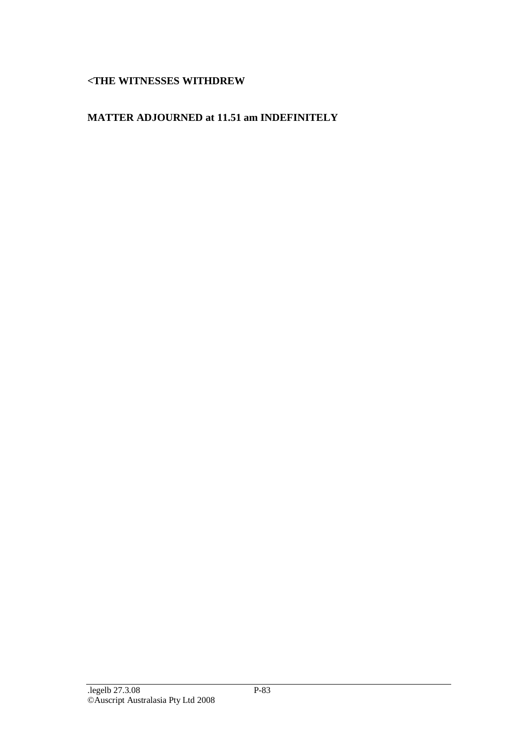## **<THE WITNESSES WITHDREW**

## **MATTER ADJOURNED at 11.51 am INDEFINITELY**